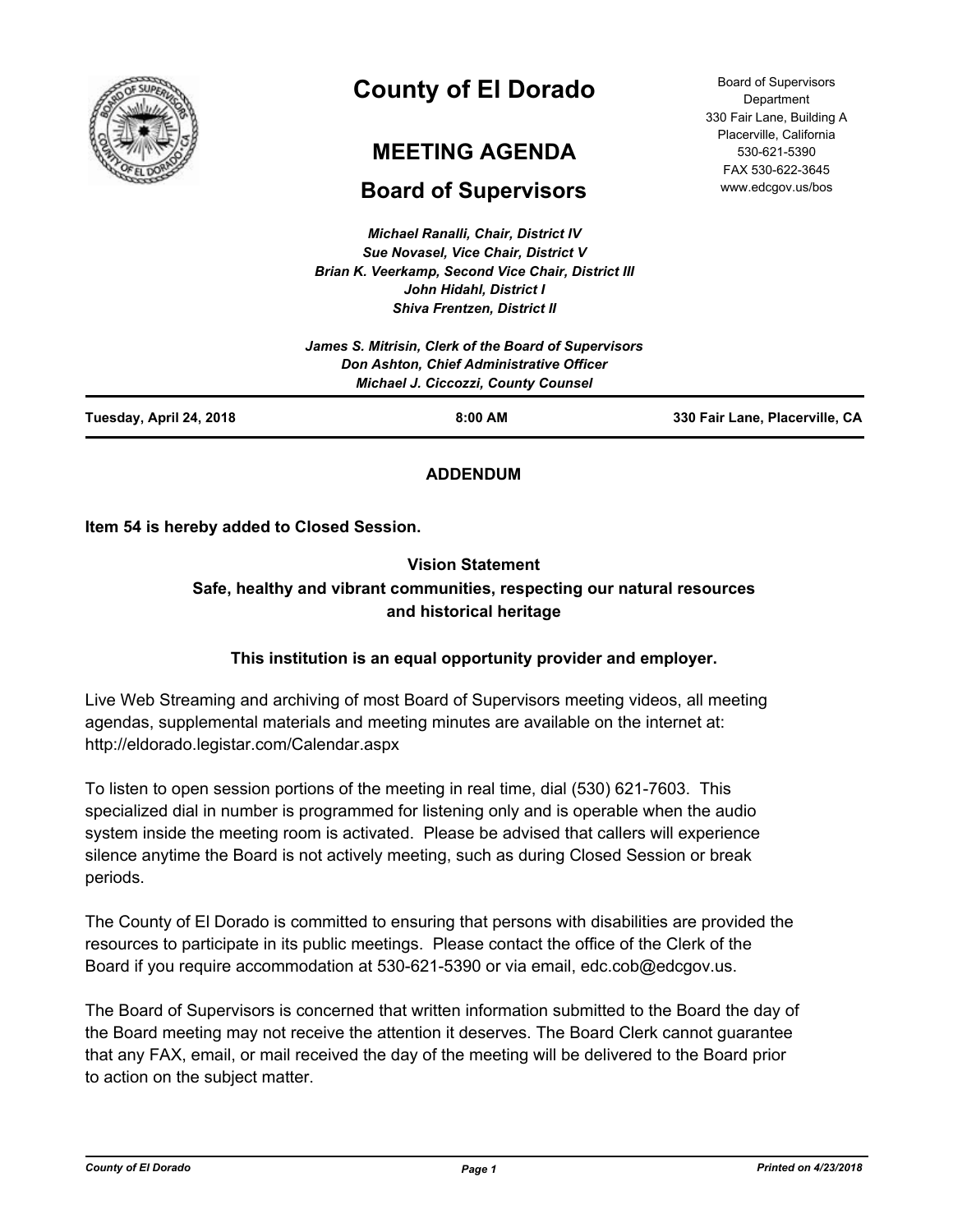

# **County of El Dorado**

## **MEETING AGENDA**

## **Board of Supervisors**

*Michael Ranalli, Chair, District IV Sue Novasel, Vice Chair, District V Brian K. Veerkamp, Second Vice Chair, District III John Hidahl, District I Shiva Frentzen, District II*

|                         | James S. Mitrisin, Clerk of the Board of Supervisors<br>Don Ashton, Chief Administrative Officer<br><b>Michael J. Ciccozzi, County Counsel</b> |                                |
|-------------------------|------------------------------------------------------------------------------------------------------------------------------------------------|--------------------------------|
| Tuesday, April 24, 2018 | $8:00$ AM                                                                                                                                      | 330 Fair Lane, Placerville, CA |

## **ADDENDUM**

**Item 54 is hereby added to Closed Session.**

## **Vision Statement Safe, healthy and vibrant communities, respecting our natural resources and historical heritage**

## **This institution is an equal opportunity provider and employer.**

Live Web Streaming and archiving of most Board of Supervisors meeting videos, all meeting agendas, supplemental materials and meeting minutes are available on the internet at: http://eldorado.legistar.com/Calendar.aspx

To listen to open session portions of the meeting in real time, dial (530) 621-7603. This specialized dial in number is programmed for listening only and is operable when the audio system inside the meeting room is activated. Please be advised that callers will experience silence anytime the Board is not actively meeting, such as during Closed Session or break periods.

The County of El Dorado is committed to ensuring that persons with disabilities are provided the resources to participate in its public meetings. Please contact the office of the Clerk of the Board if you require accommodation at 530-621-5390 or via email, edc.cob@edcgov.us.

The Board of Supervisors is concerned that written information submitted to the Board the day of the Board meeting may not receive the attention it deserves. The Board Clerk cannot guarantee that any FAX, email, or mail received the day of the meeting will be delivered to the Board prior to action on the subject matter.

*County of El Dorado Page 1 Printed on 4/23/2018*

Board of Supervisors **Department** 330 Fair Lane, Building A Placerville, California 530-621-5390 FAX 530-622-3645 www.edcgov.us/bos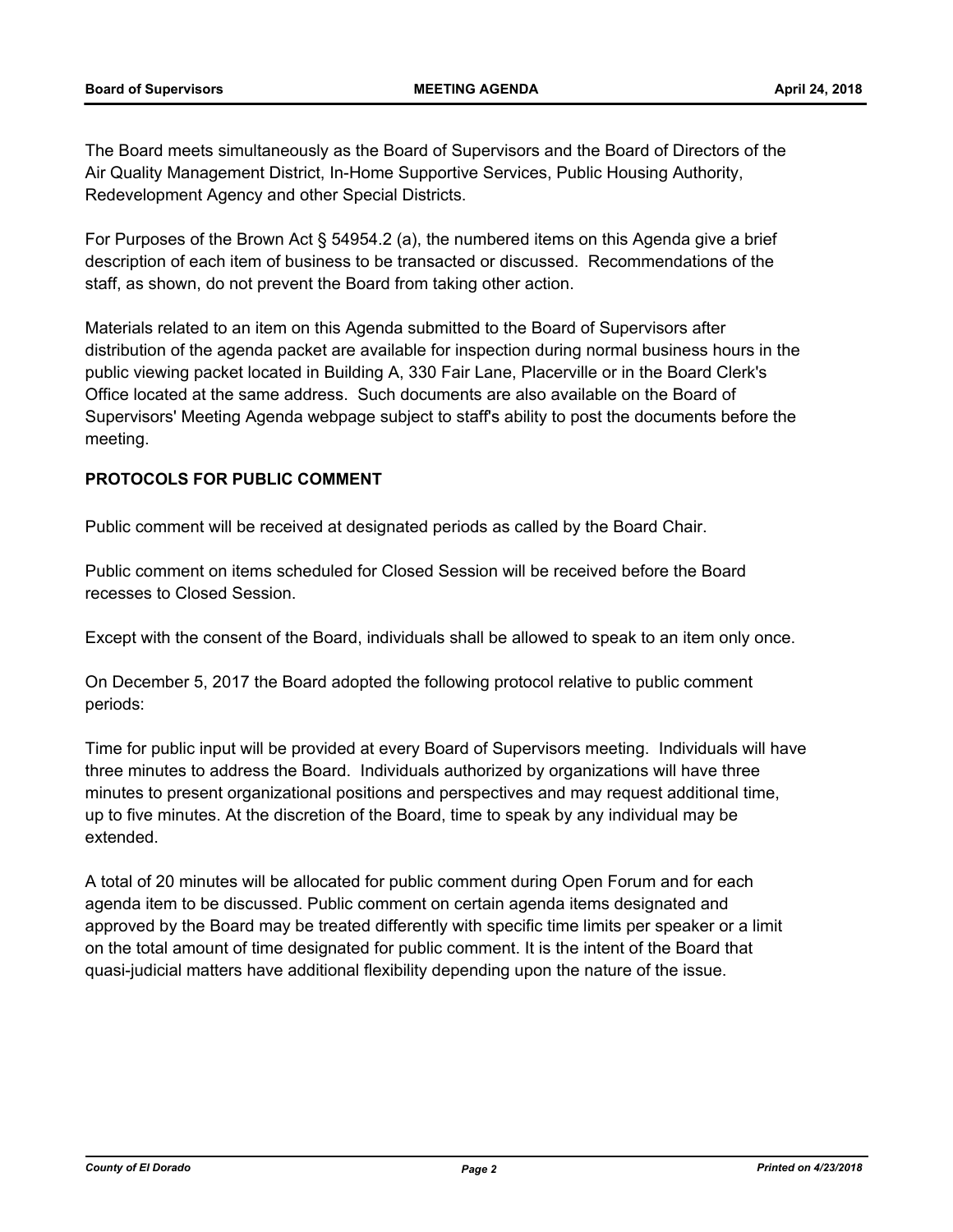The Board meets simultaneously as the Board of Supervisors and the Board of Directors of the Air Quality Management District, In-Home Supportive Services, Public Housing Authority, Redevelopment Agency and other Special Districts.

For Purposes of the Brown Act § 54954.2 (a), the numbered items on this Agenda give a brief description of each item of business to be transacted or discussed. Recommendations of the staff, as shown, do not prevent the Board from taking other action.

Materials related to an item on this Agenda submitted to the Board of Supervisors after distribution of the agenda packet are available for inspection during normal business hours in the public viewing packet located in Building A, 330 Fair Lane, Placerville or in the Board Clerk's Office located at the same address. Such documents are also available on the Board of Supervisors' Meeting Agenda webpage subject to staff's ability to post the documents before the meeting.

## **PROTOCOLS FOR PUBLIC COMMENT**

Public comment will be received at designated periods as called by the Board Chair.

Public comment on items scheduled for Closed Session will be received before the Board recesses to Closed Session.

Except with the consent of the Board, individuals shall be allowed to speak to an item only once.

On December 5, 2017 the Board adopted the following protocol relative to public comment periods:

Time for public input will be provided at every Board of Supervisors meeting. Individuals will have three minutes to address the Board. Individuals authorized by organizations will have three minutes to present organizational positions and perspectives and may request additional time, up to five minutes. At the discretion of the Board, time to speak by any individual may be extended.

A total of 20 minutes will be allocated for public comment during Open Forum and for each agenda item to be discussed. Public comment on certain agenda items designated and approved by the Board may be treated differently with specific time limits per speaker or a limit on the total amount of time designated for public comment. It is the intent of the Board that quasi-judicial matters have additional flexibility depending upon the nature of the issue.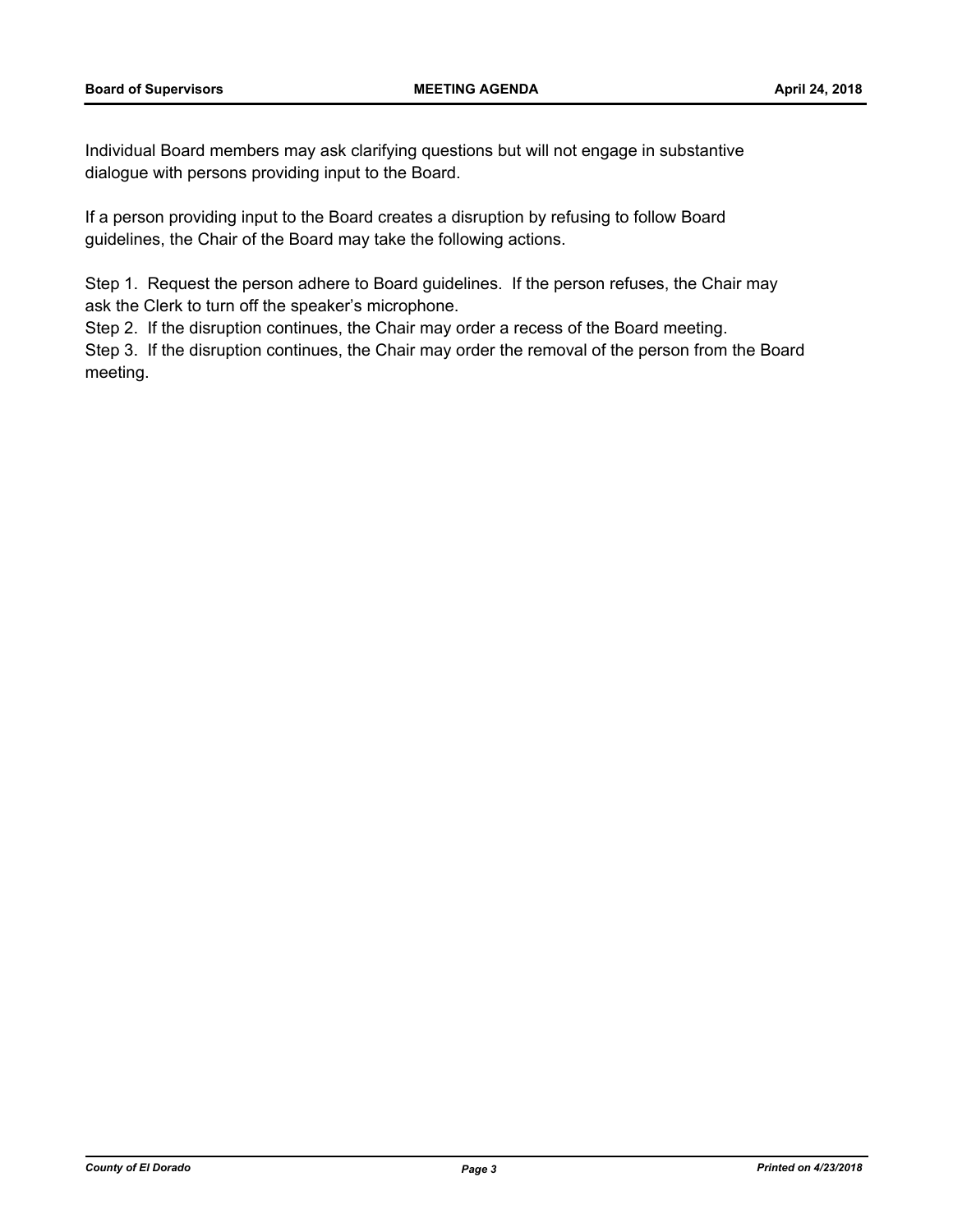Individual Board members may ask clarifying questions but will not engage in substantive dialogue with persons providing input to the Board.

If a person providing input to the Board creates a disruption by refusing to follow Board guidelines, the Chair of the Board may take the following actions.

Step 1. Request the person adhere to Board guidelines. If the person refuses, the Chair may ask the Clerk to turn off the speaker's microphone.

Step 2. If the disruption continues, the Chair may order a recess of the Board meeting.

Step 3. If the disruption continues, the Chair may order the removal of the person from the Board meeting.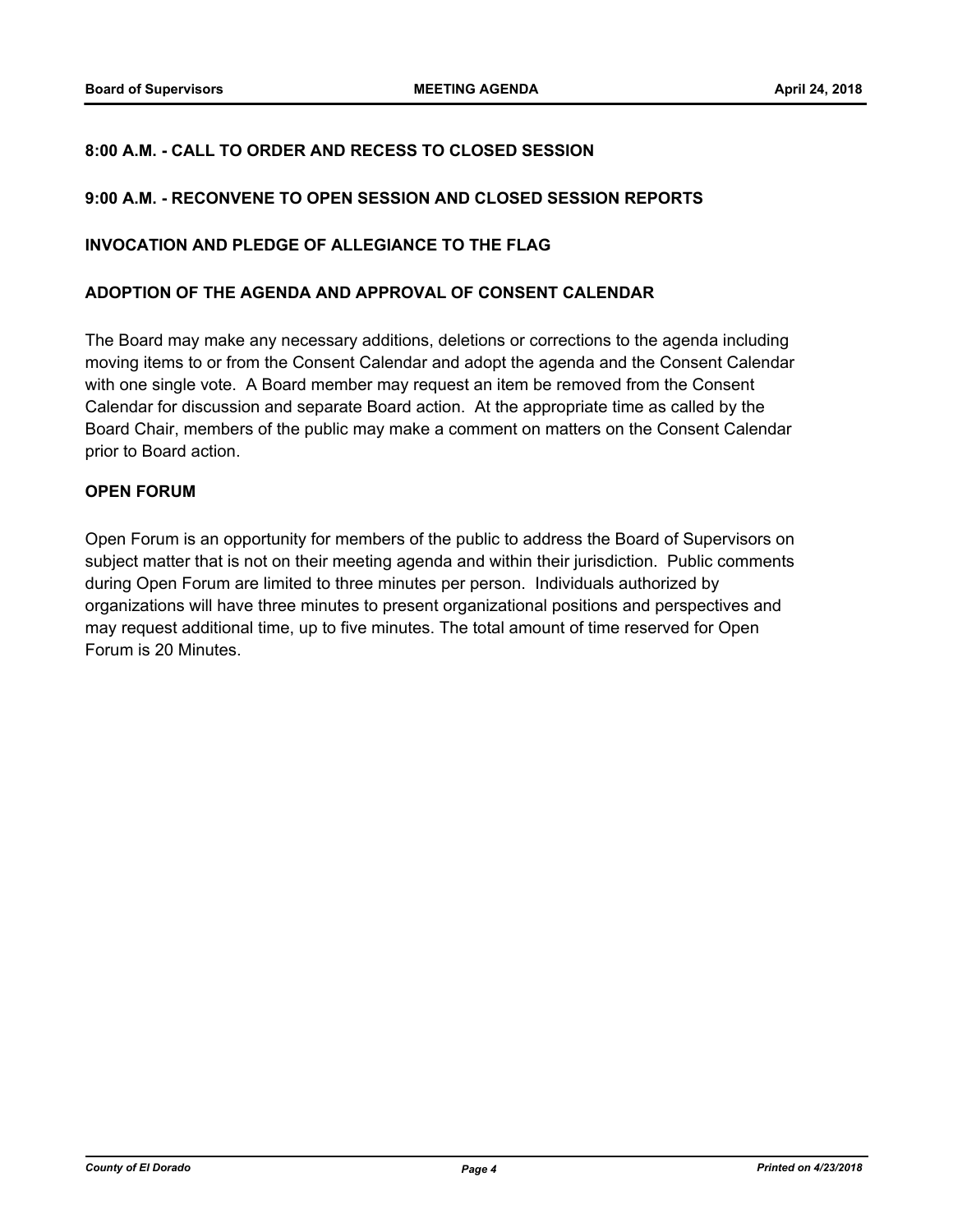## **8:00 A.M. - CALL TO ORDER AND RECESS TO CLOSED SESSION**

## **9:00 A.M. - RECONVENE TO OPEN SESSION AND CLOSED SESSION REPORTS**

## **INVOCATION AND PLEDGE OF ALLEGIANCE TO THE FLAG**

#### **ADOPTION OF THE AGENDA AND APPROVAL OF CONSENT CALENDAR**

The Board may make any necessary additions, deletions or corrections to the agenda including moving items to or from the Consent Calendar and adopt the agenda and the Consent Calendar with one single vote. A Board member may request an item be removed from the Consent Calendar for discussion and separate Board action. At the appropriate time as called by the Board Chair, members of the public may make a comment on matters on the Consent Calendar prior to Board action.

## **OPEN FORUM**

Open Forum is an opportunity for members of the public to address the Board of Supervisors on subject matter that is not on their meeting agenda and within their jurisdiction. Public comments during Open Forum are limited to three minutes per person. Individuals authorized by organizations will have three minutes to present organizational positions and perspectives and may request additional time, up to five minutes. The total amount of time reserved for Open Forum is 20 Minutes.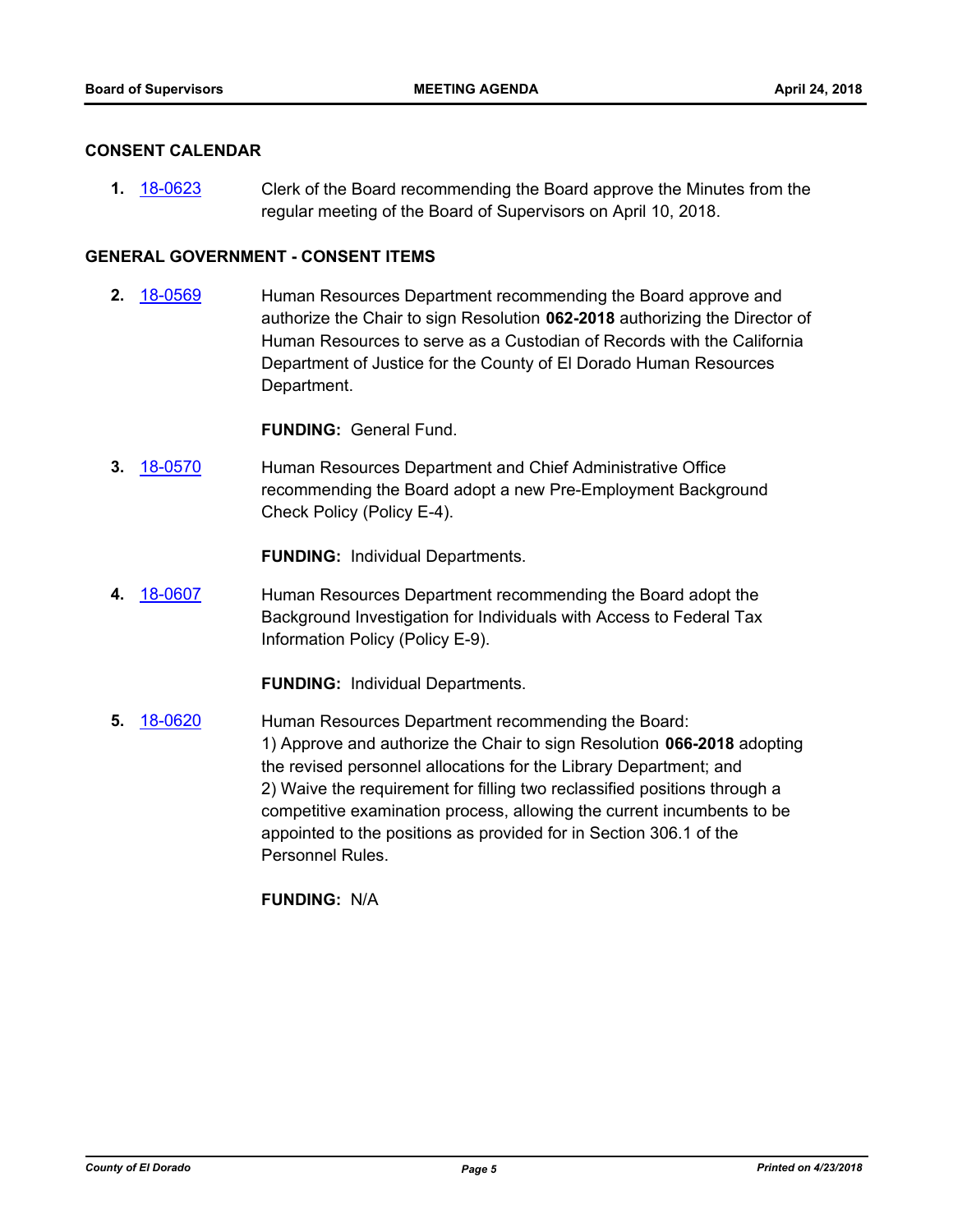## **CONSENT CALENDAR**

**1.** [18-0623](http://eldorado.legistar.com/gateway.aspx?m=l&id=/matter.aspx?key=23968) Clerk of the Board recommending the Board approve the Minutes from the regular meeting of the Board of Supervisors on April 10, 2018.

## **GENERAL GOVERNMENT - CONSENT ITEMS**

**2.** [18-0569](http://eldorado.legistar.com/gateway.aspx?m=l&id=/matter.aspx?key=23914) Human Resources Department recommending the Board approve and authorize the Chair to sign Resolution **062-2018** authorizing the Director of Human Resources to serve as a Custodian of Records with the California Department of Justice for the County of El Dorado Human Resources Department.

**FUNDING:** General Fund.

**3.** [18-0570](http://eldorado.legistar.com/gateway.aspx?m=l&id=/matter.aspx?key=23915) Human Resources Department and Chief Administrative Office recommending the Board adopt a new Pre-Employment Background Check Policy (Policy E-4).

**FUNDING:** Individual Departments.

**4.** [18-0607](http://eldorado.legistar.com/gateway.aspx?m=l&id=/matter.aspx?key=23952) Human Resources Department recommending the Board adopt the Background Investigation for Individuals with Access to Federal Tax Information Policy (Policy E-9).

**FUNDING:** Individual Departments.

**5.** [18-0620](http://eldorado.legistar.com/gateway.aspx?m=l&id=/matter.aspx?key=23965) Human Resources Department recommending the Board: 1) Approve and authorize the Chair to sign Resolution **066-2018** adopting the revised personnel allocations for the Library Department; and 2) Waive the requirement for filling two reclassified positions through a competitive examination process, allowing the current incumbents to be appointed to the positions as provided for in Section 306.1 of the Personnel Rules.

**FUNDING:** N/A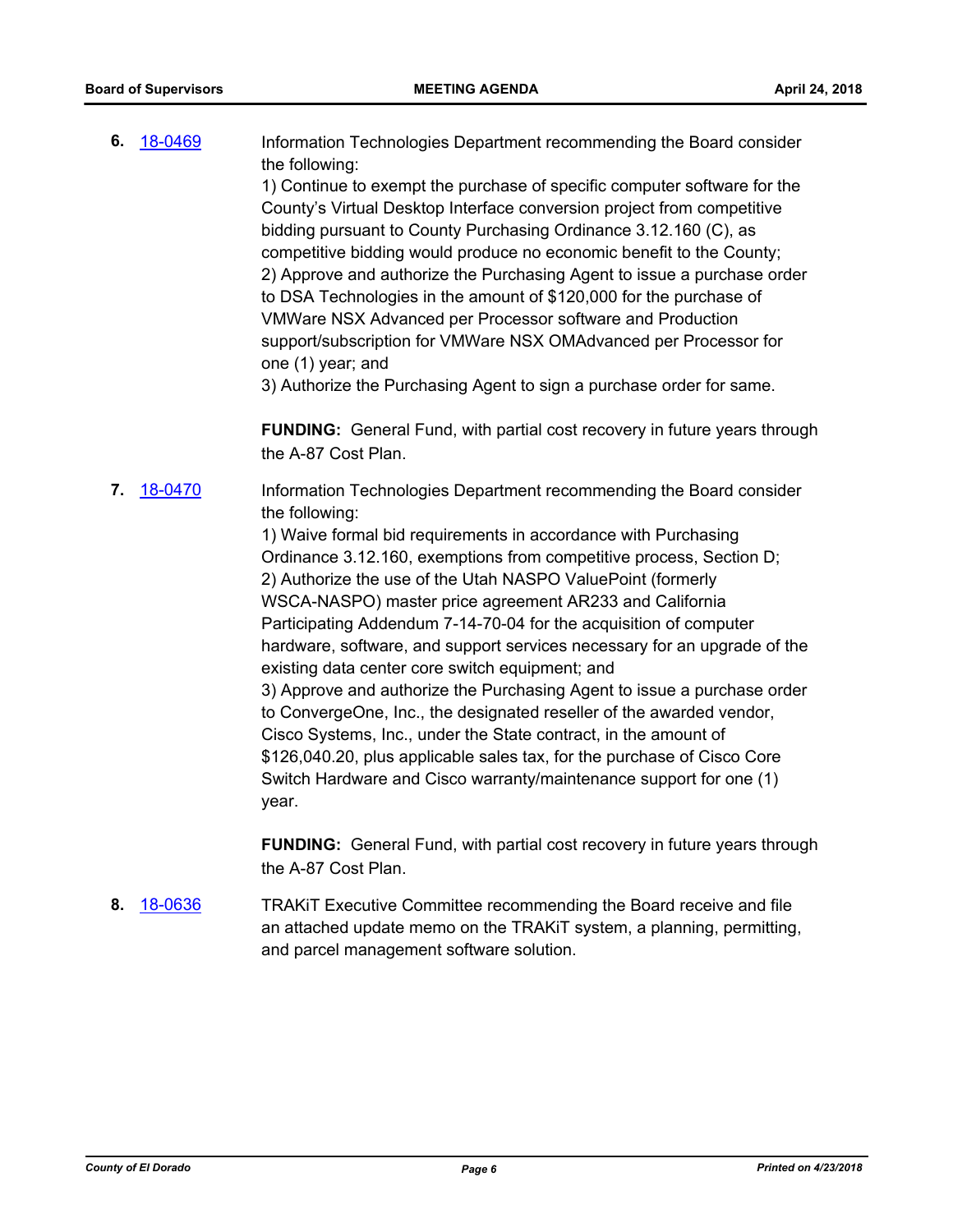**6.** [18-0469](http://eldorado.legistar.com/gateway.aspx?m=l&id=/matter.aspx?key=23814) Information Technologies Department recommending the Board consider the following: 1) Continue to exempt the purchase of specific computer software for the County's Virtual Desktop Interface conversion project from competitive bidding pursuant to County Purchasing Ordinance 3.12.160 (C), as competitive bidding would produce no economic benefit to the County; 2) Approve and authorize the Purchasing Agent to issue a purchase order to DSA Technologies in the amount of \$120,000 for the purchase of

VMWare NSX Advanced per Processor software and Production support/subscription for VMWare NSX OMAdvanced per Processor for one (1) year; and

3) Authorize the Purchasing Agent to sign a purchase order for same.

**FUNDING:** General Fund, with partial cost recovery in future years through the A-87 Cost Plan.

**7.** [18-0470](http://eldorado.legistar.com/gateway.aspx?m=l&id=/matter.aspx?key=23815) Information Technologies Department recommending the Board consider the following:

> 1) Waive formal bid requirements in accordance with Purchasing Ordinance 3.12.160, exemptions from competitive process, Section D; 2) Authorize the use of the Utah NASPO ValuePoint (formerly WSCA-NASPO) master price agreement AR233 and California Participating Addendum 7-14-70-04 for the acquisition of computer hardware, software, and support services necessary for an upgrade of the existing data center core switch equipment; and 3) Approve and authorize the Purchasing Agent to issue a purchase order to ConvergeOne, Inc., the designated reseller of the awarded vendor, Cisco Systems, Inc., under the State contract, in the amount of \$126,040.20, plus applicable sales tax, for the purchase of Cisco Core Switch Hardware and Cisco warranty/maintenance support for one (1) year.

**FUNDING:** General Fund, with partial cost recovery in future years through the A-87 Cost Plan.

**8.** [18-0636](http://eldorado.legistar.com/gateway.aspx?m=l&id=/matter.aspx?key=23981) TRAKiT Executive Committee recommending the Board receive and file an attached update memo on the TRAKiT system, a planning, permitting, and parcel management software solution.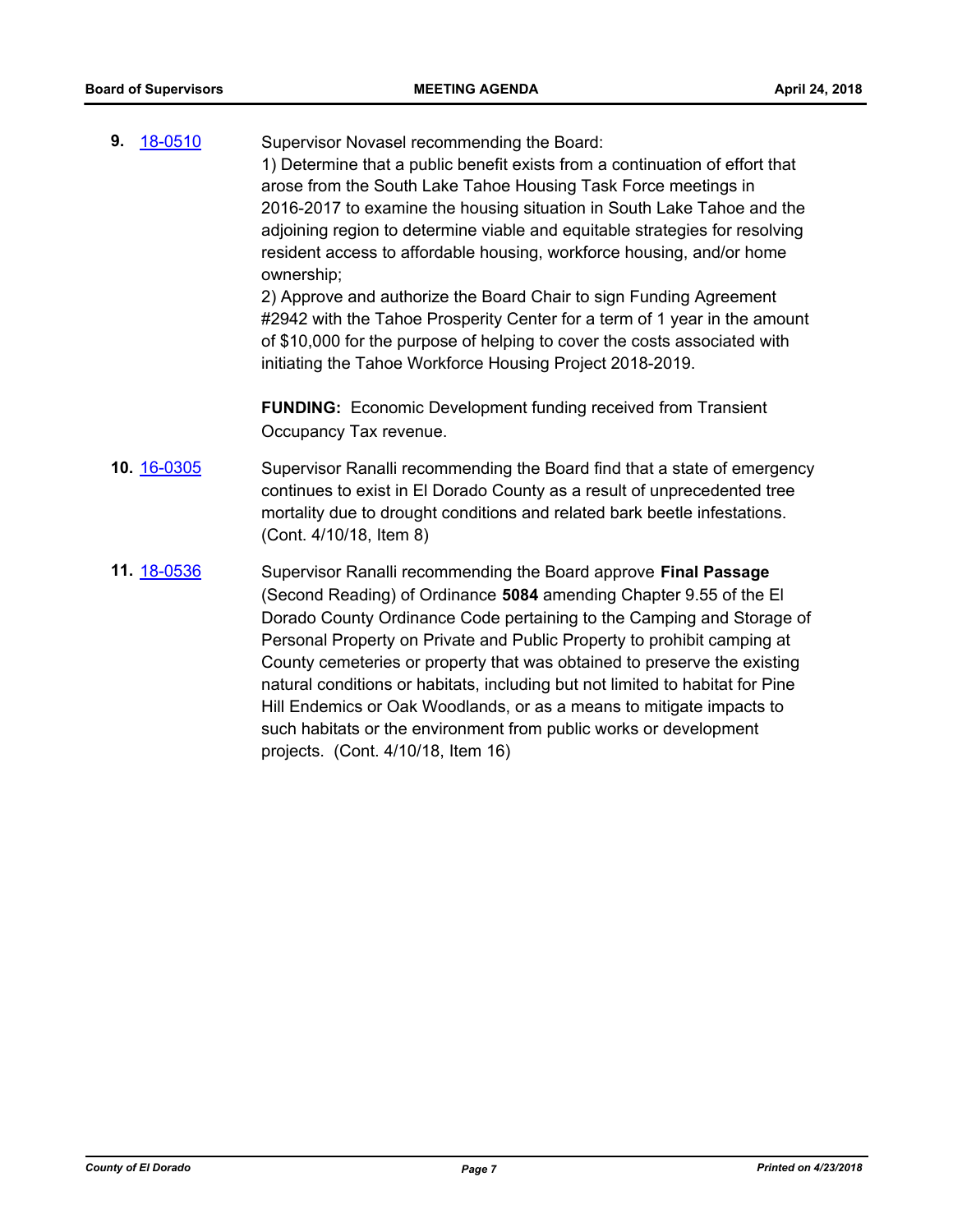**9.** [18-0510](http://eldorado.legistar.com/gateway.aspx?m=l&id=/matter.aspx?key=23855) Supervisor Novasel recommending the Board: 1) Determine that a public benefit exists from a continuation of effort that arose from the South Lake Tahoe Housing Task Force meetings in 2016-2017 to examine the housing situation in South Lake Tahoe and the adjoining region to determine viable and equitable strategies for resolving resident access to affordable housing, workforce housing, and/or home ownership; 2) Approve and authorize the Board Chair to sign Funding Agreement

#2942 with the Tahoe Prosperity Center for a term of 1 year in the amount of \$10,000 for the purpose of helping to cover the costs associated with initiating the Tahoe Workforce Housing Project 2018-2019.

**FUNDING:** Economic Development funding received from Transient Occupancy Tax revenue.

- **10.** [16-0305](http://eldorado.legistar.com/gateway.aspx?m=l&id=/matter.aspx?key=20961) Supervisor Ranalli recommending the Board find that a state of emergency continues to exist in El Dorado County as a result of unprecedented tree mortality due to drought conditions and related bark beetle infestations. (Cont. 4/10/18, Item 8)
- **11.** [18-0536](http://eldorado.legistar.com/gateway.aspx?m=l&id=/matter.aspx?key=23881) Supervisor Ranalli recommending the Board approve **Final Passage**  (Second Reading) of Ordinance **5084** amending Chapter 9.55 of the El Dorado County Ordinance Code pertaining to the Camping and Storage of Personal Property on Private and Public Property to prohibit camping at County cemeteries or property that was obtained to preserve the existing natural conditions or habitats, including but not limited to habitat for Pine Hill Endemics or Oak Woodlands, or as a means to mitigate impacts to such habitats or the environment from public works or development projects. (Cont. 4/10/18, Item 16)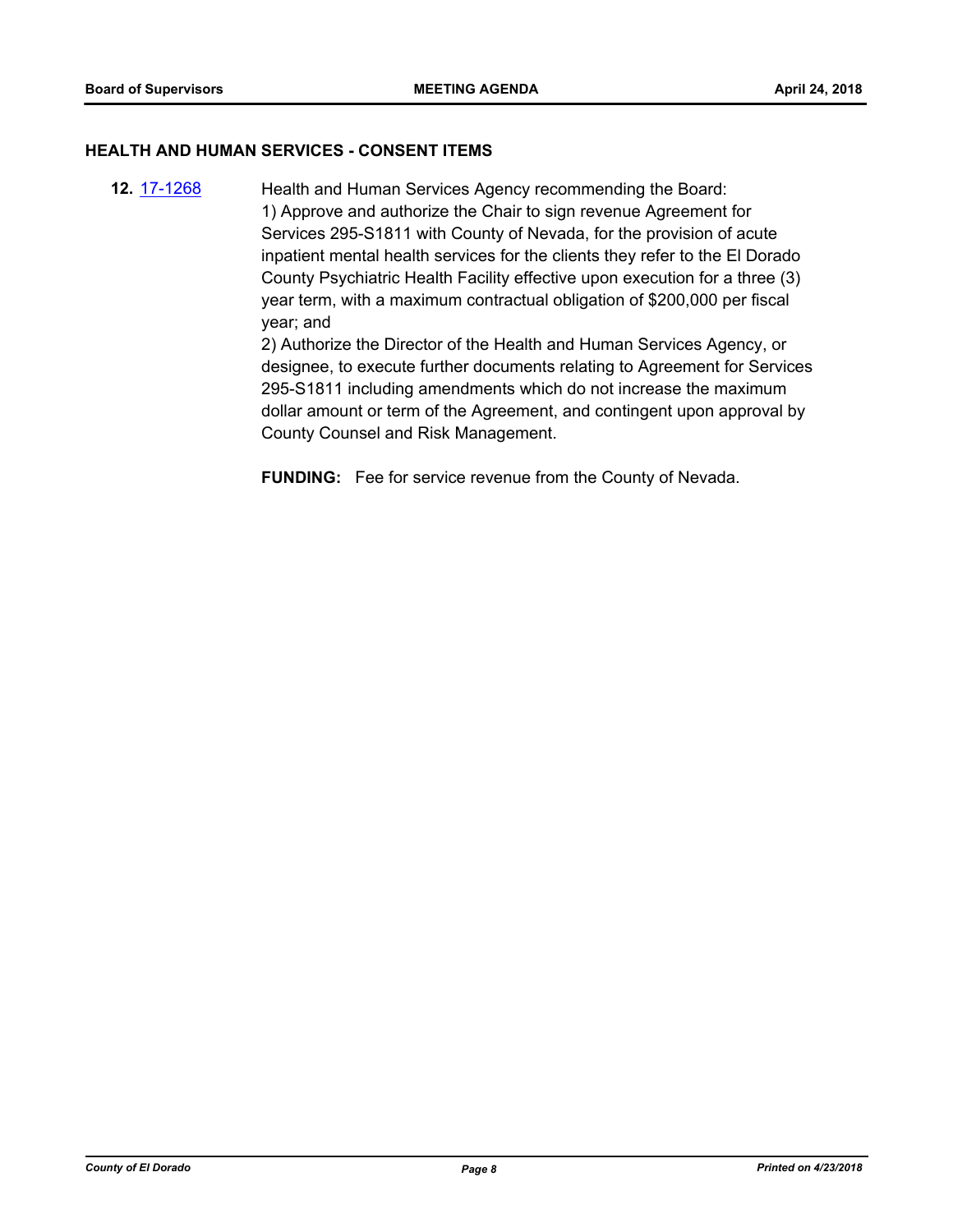## **HEALTH AND HUMAN SERVICES - CONSENT ITEMS**

**12.** [17-1268](http://eldorado.legistar.com/gateway.aspx?m=l&id=/matter.aspx?key=23212) Health and Human Services Agency recommending the Board: 1) Approve and authorize the Chair to sign revenue Agreement for Services 295-S1811 with County of Nevada, for the provision of acute inpatient mental health services for the clients they refer to the El Dorado County Psychiatric Health Facility effective upon execution for a three (3) year term, with a maximum contractual obligation of \$200,000 per fiscal year; and

2) Authorize the Director of the Health and Human Services Agency, or designee, to execute further documents relating to Agreement for Services 295-S1811 including amendments which do not increase the maximum dollar amount or term of the Agreement, and contingent upon approval by County Counsel and Risk Management.

**FUNDING:** Fee for service revenue from the County of Nevada.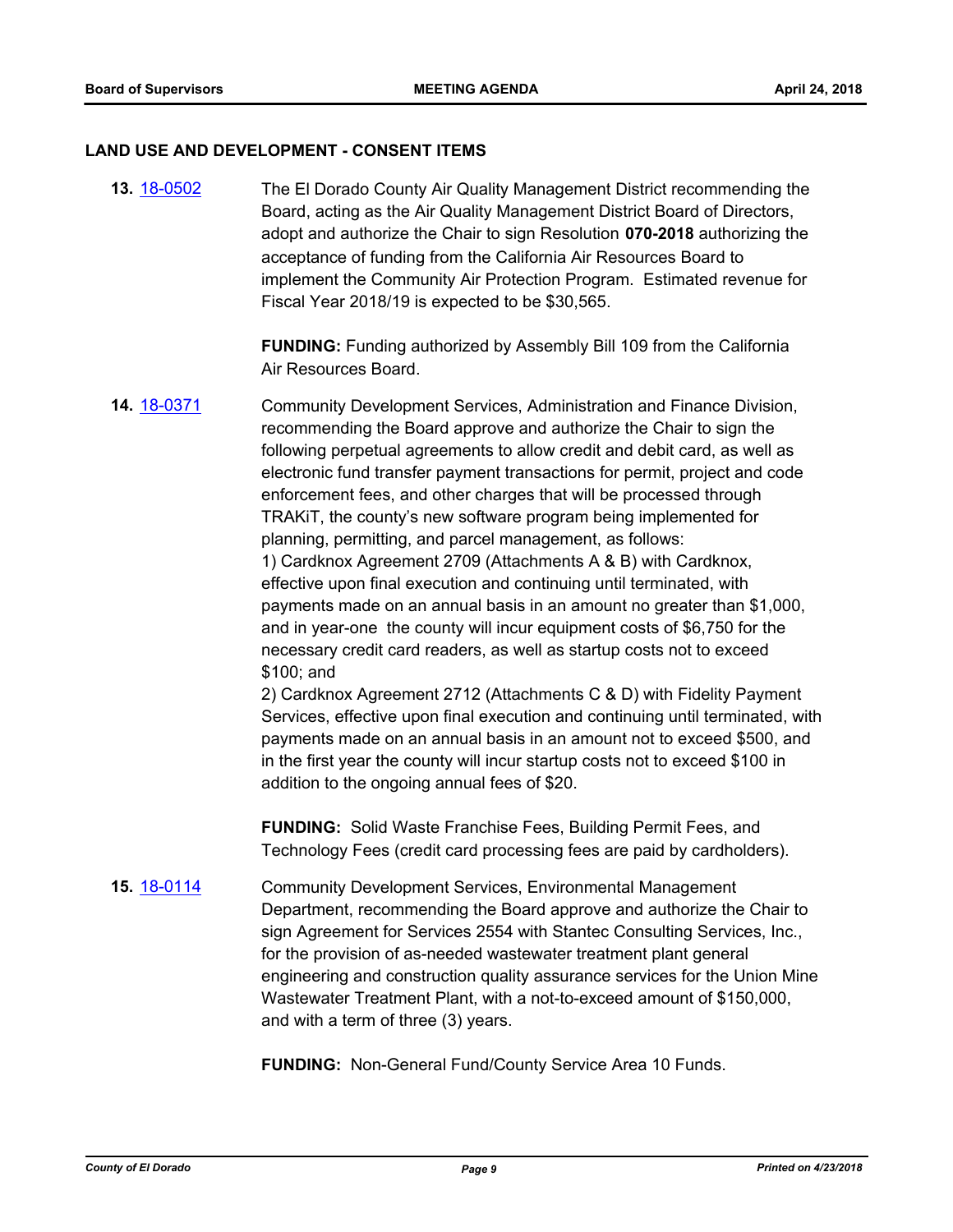#### **LAND USE AND DEVELOPMENT - CONSENT ITEMS**

**13.** [18-0502](http://eldorado.legistar.com/gateway.aspx?m=l&id=/matter.aspx?key=23847) The El Dorado County Air Quality Management District recommending the Board, acting as the Air Quality Management District Board of Directors, adopt and authorize the Chair to sign Resolution **070-2018** authorizing the acceptance of funding from the California Air Resources Board to implement the Community Air Protection Program. Estimated revenue for Fiscal Year 2018/19 is expected to be \$30,565.

> **FUNDING:** Funding authorized by Assembly Bill 109 from the California Air Resources Board.

**14.** [18-0371](http://eldorado.legistar.com/gateway.aspx?m=l&id=/matter.aspx?key=23715) Community Development Services, Administration and Finance Division, recommending the Board approve and authorize the Chair to sign the following perpetual agreements to allow credit and debit card, as well as electronic fund transfer payment transactions for permit, project and code enforcement fees, and other charges that will be processed through TRAKiT, the county's new software program being implemented for planning, permitting, and parcel management, as follows: 1) Cardknox Agreement 2709 (Attachments A & B) with Cardknox, effective upon final execution and continuing until terminated, with payments made on an annual basis in an amount no greater than \$1,000, and in year-one the county will incur equipment costs of \$6,750 for the necessary credit card readers, as well as startup costs not to exceed \$100; and

2) Cardknox Agreement 2712 (Attachments C & D) with Fidelity Payment Services, effective upon final execution and continuing until terminated, with payments made on an annual basis in an amount not to exceed \$500, and in the first year the county will incur startup costs not to exceed \$100 in addition to the ongoing annual fees of \$20.

**FUNDING:** Solid Waste Franchise Fees, Building Permit Fees, and Technology Fees (credit card processing fees are paid by cardholders).

**15.** [18-0114](http://eldorado.legistar.com/gateway.aspx?m=l&id=/matter.aspx?key=23456) Community Development Services, Environmental Management Department, recommending the Board approve and authorize the Chair to sign Agreement for Services 2554 with Stantec Consulting Services, Inc., for the provision of as-needed wastewater treatment plant general engineering and construction quality assurance services for the Union Mine Wastewater Treatment Plant, with a not-to-exceed amount of \$150,000, and with a term of three (3) years.

**FUNDING:** Non-General Fund/County Service Area 10 Funds.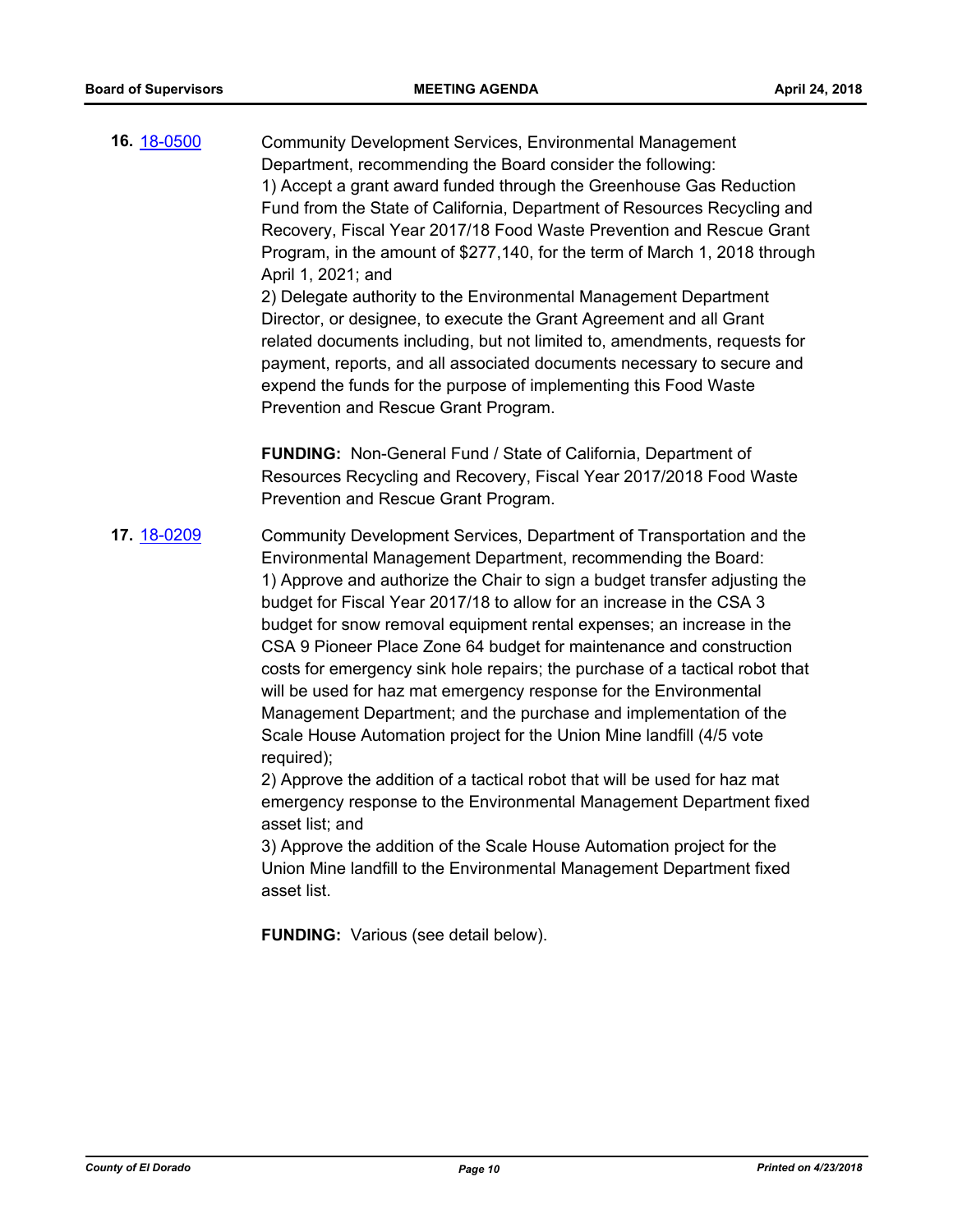**16.** [18-0500](http://eldorado.legistar.com/gateway.aspx?m=l&id=/matter.aspx?key=23845) Community Development Services, Environmental Management Department, recommending the Board consider the following: 1) Accept a grant award funded through the Greenhouse Gas Reduction Fund from the State of California, Department of Resources Recycling and Recovery, Fiscal Year 2017/18 Food Waste Prevention and Rescue Grant Program, in the amount of \$277,140, for the term of March 1, 2018 through April 1, 2021; and 2) Delegate authority to the Environmental Management Department Director, or designee, to execute the Grant Agreement and all Grant

related documents including, but not limited to, amendments, requests for payment, reports, and all associated documents necessary to secure and expend the funds for the purpose of implementing this Food Waste Prevention and Rescue Grant Program.

**FUNDING:** Non-General Fund / State of California, Department of Resources Recycling and Recovery, Fiscal Year 2017/2018 Food Waste Prevention and Rescue Grant Program.

**17.** [18-0209](http://eldorado.legistar.com/gateway.aspx?m=l&id=/matter.aspx?key=23551) Community Development Services, Department of Transportation and the Environmental Management Department, recommending the Board: 1) Approve and authorize the Chair to sign a budget transfer adjusting the budget for Fiscal Year 2017/18 to allow for an increase in the CSA 3 budget for snow removal equipment rental expenses; an increase in the CSA 9 Pioneer Place Zone 64 budget for maintenance and construction costs for emergency sink hole repairs; the purchase of a tactical robot that will be used for haz mat emergency response for the Environmental Management Department; and the purchase and implementation of the Scale House Automation project for the Union Mine landfill (4/5 vote required);

2) Approve the addition of a tactical robot that will be used for haz mat emergency response to the Environmental Management Department fixed asset list; and

3) Approve the addition of the Scale House Automation project for the Union Mine landfill to the Environmental Management Department fixed asset list.

**FUNDING:** Various (see detail below).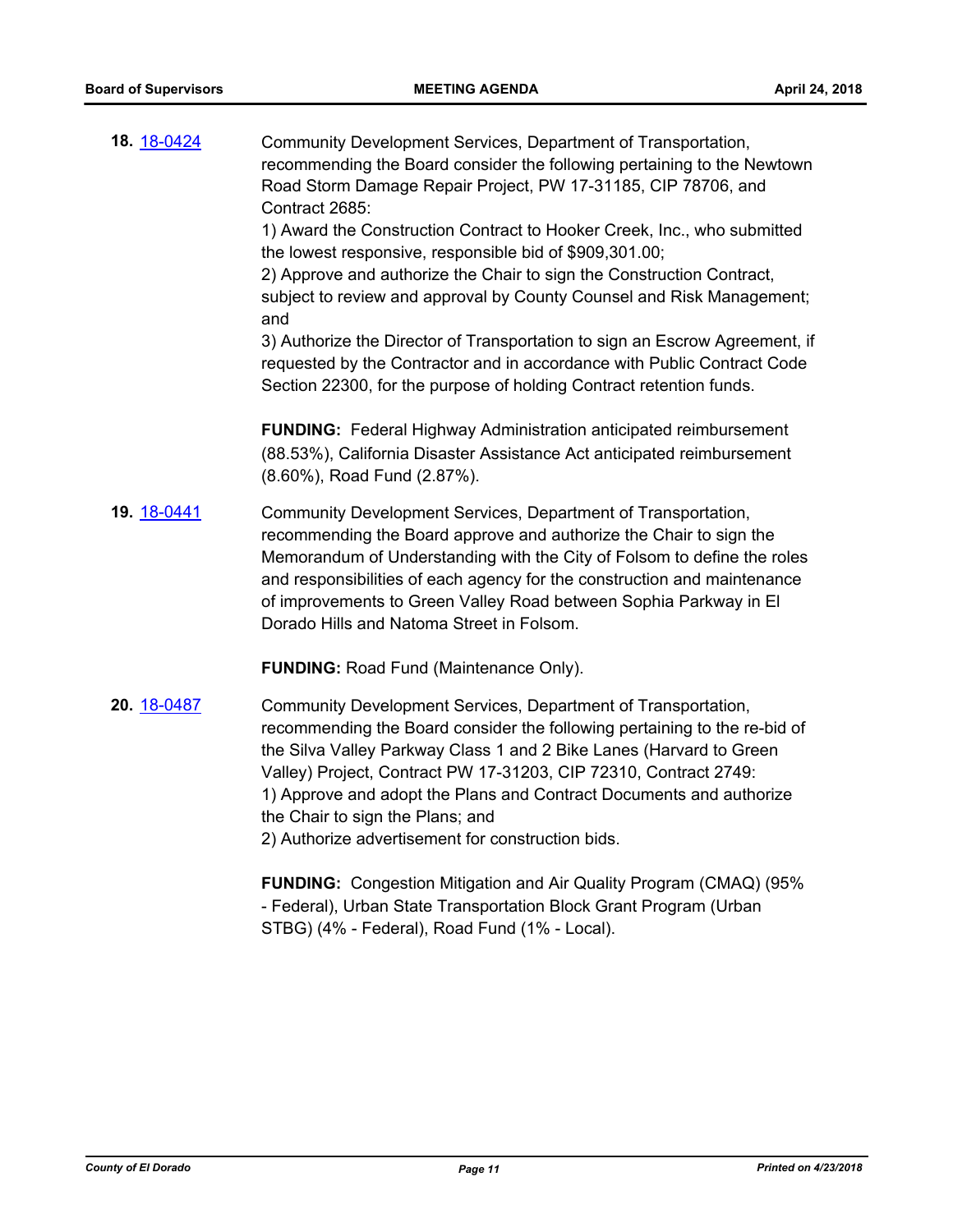| 18. 18-0424 | Community Development Services, Department of Transportation,<br>recommending the Board consider the following pertaining to the Newtown<br>Road Storm Damage Repair Project, PW 17-31185, CIP 78706, and<br>Contract 2685:<br>1) Award the Construction Contract to Hooker Creek, Inc., who submitted<br>the lowest responsive, responsible bid of \$909,301.00;<br>2) Approve and authorize the Chair to sign the Construction Contract,<br>subject to review and approval by County Counsel and Risk Management;<br>and<br>3) Authorize the Director of Transportation to sign an Escrow Agreement, if<br>requested by the Contractor and in accordance with Public Contract Code<br>Section 22300, for the purpose of holding Contract retention funds. |
|-------------|-------------------------------------------------------------------------------------------------------------------------------------------------------------------------------------------------------------------------------------------------------------------------------------------------------------------------------------------------------------------------------------------------------------------------------------------------------------------------------------------------------------------------------------------------------------------------------------------------------------------------------------------------------------------------------------------------------------------------------------------------------------|
|             | <b>FUNDING:</b> Federal Highway Administration anticipated reimbursement<br>(88.53%), California Disaster Assistance Act anticipated reimbursement<br>(8.60%), Road Fund (2.87%).                                                                                                                                                                                                                                                                                                                                                                                                                                                                                                                                                                           |
| 19. 18-0441 | Community Development Services, Department of Transportation,<br>recommending the Board approve and authorize the Chair to sign the<br>Memorandum of Understanding with the City of Folsom to define the roles<br>and responsibilities of each agency for the construction and maintenance<br>of improvements to Green Valley Road between Sophia Parkway in El<br>Dorado Hills and Natoma Street in Folsom.                                                                                                                                                                                                                                                                                                                                                |
|             | <b>FUNDING: Road Fund (Maintenance Only).</b>                                                                                                                                                                                                                                                                                                                                                                                                                                                                                                                                                                                                                                                                                                               |
| 20. 18-0487 | Community Development Services, Department of Transportation,<br>recommending the Board consider the following pertaining to the re-bid of<br>the Silva Valley Parkway Class 1 and 2 Bike Lanes (Harvard to Green<br>Valley) Project, Contract PW 17-31203, CIP 72310, Contract 2749:<br>1) Approve and adopt the Plans and Contract Documents and authorize<br>the Chair to sign the Plans; and<br>2) Authorize advertisement for construction bids.                                                                                                                                                                                                                                                                                                       |
|             | <b>FUNDING:</b> Congestion Mitigation and Air Quality Program (CMAQ) (95%                                                                                                                                                                                                                                                                                                                                                                                                                                                                                                                                                                                                                                                                                   |

- Federal), Urban State Transportation Block Grant Program (Urban STBG) (4% - Federal), Road Fund (1% - Local).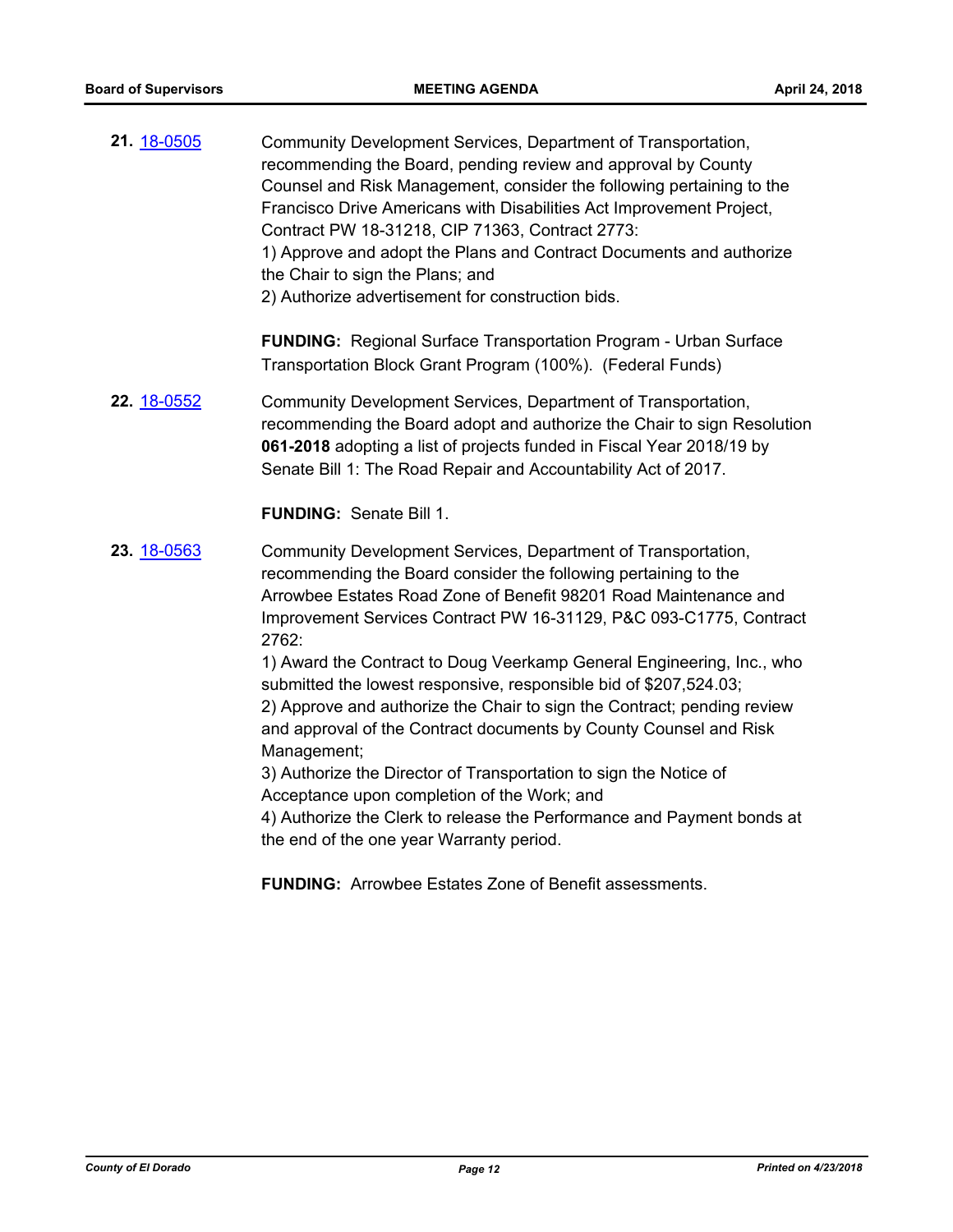| 21. 18-0505 | Community Development Services, Department of Transportation,<br>recommending the Board, pending review and approval by County<br>Counsel and Risk Management, consider the following pertaining to the<br>Francisco Drive Americans with Disabilities Act Improvement Project,<br>Contract PW 18-31218, CIP 71363, Contract 2773:<br>1) Approve and adopt the Plans and Contract Documents and authorize<br>the Chair to sign the Plans; and<br>2) Authorize advertisement for construction bids.                                                                                                                                                                                                                                                                                                                                         |
|-------------|--------------------------------------------------------------------------------------------------------------------------------------------------------------------------------------------------------------------------------------------------------------------------------------------------------------------------------------------------------------------------------------------------------------------------------------------------------------------------------------------------------------------------------------------------------------------------------------------------------------------------------------------------------------------------------------------------------------------------------------------------------------------------------------------------------------------------------------------|
|             | <b>FUNDING:</b> Regional Surface Transportation Program - Urban Surface<br>Transportation Block Grant Program (100%). (Federal Funds)                                                                                                                                                                                                                                                                                                                                                                                                                                                                                                                                                                                                                                                                                                      |
| 22. 18-0552 | Community Development Services, Department of Transportation,<br>recommending the Board adopt and authorize the Chair to sign Resolution<br>061-2018 adopting a list of projects funded in Fiscal Year 2018/19 by<br>Senate Bill 1: The Road Repair and Accountability Act of 2017.                                                                                                                                                                                                                                                                                                                                                                                                                                                                                                                                                        |
|             | <b>FUNDING: Senate Bill 1.</b>                                                                                                                                                                                                                                                                                                                                                                                                                                                                                                                                                                                                                                                                                                                                                                                                             |
| 23. 18-0563 | Community Development Services, Department of Transportation,<br>recommending the Board consider the following pertaining to the<br>Arrowbee Estates Road Zone of Benefit 98201 Road Maintenance and<br>Improvement Services Contract PW 16-31129, P&C 093-C1775, Contract<br>2762:<br>1) Award the Contract to Doug Veerkamp General Engineering, Inc., who<br>submitted the lowest responsive, responsible bid of \$207,524.03;<br>2) Approve and authorize the Chair to sign the Contract; pending review<br>and approval of the Contract documents by County Counsel and Risk<br>Management;<br>3) Authorize the Director of Transportation to sign the Notice of<br>Acceptance upon completion of the Work; and<br>4) Authorize the Clerk to release the Performance and Payment bonds at<br>the end of the one year Warranty period. |
|             | <b>FUNDING:</b> Arrowbee Estates Zone of Benefit assessments.                                                                                                                                                                                                                                                                                                                                                                                                                                                                                                                                                                                                                                                                                                                                                                              |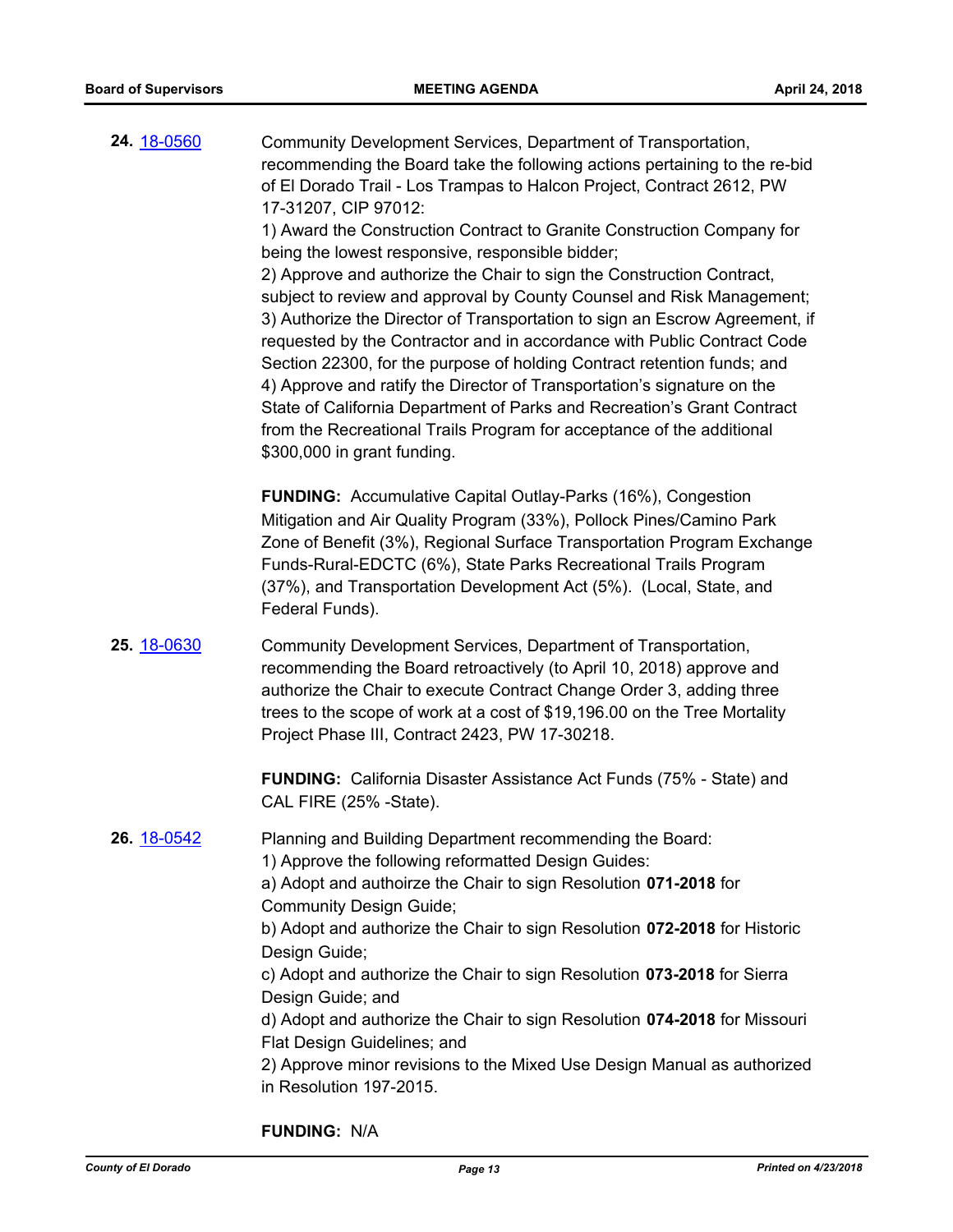| 24. 18-0560 | Community Development Services, Department of Transportation,<br>recommending the Board take the following actions pertaining to the re-bid<br>of El Dorado Trail - Los Trampas to Halcon Project, Contract 2612, PW<br>17-31207, CIP 97012:<br>1) Award the Construction Contract to Granite Construction Company for<br>being the lowest responsive, responsible bidder;<br>2) Approve and authorize the Chair to sign the Construction Contract,<br>subject to review and approval by County Counsel and Risk Management;<br>3) Authorize the Director of Transportation to sign an Escrow Agreement, if<br>requested by the Contractor and in accordance with Public Contract Code<br>Section 22300, for the purpose of holding Contract retention funds; and<br>4) Approve and ratify the Director of Transportation's signature on the<br>State of California Department of Parks and Recreation's Grant Contract<br>from the Recreational Trails Program for acceptance of the additional<br>\$300,000 in grant funding. |
|-------------|---------------------------------------------------------------------------------------------------------------------------------------------------------------------------------------------------------------------------------------------------------------------------------------------------------------------------------------------------------------------------------------------------------------------------------------------------------------------------------------------------------------------------------------------------------------------------------------------------------------------------------------------------------------------------------------------------------------------------------------------------------------------------------------------------------------------------------------------------------------------------------------------------------------------------------------------------------------------------------------------------------------------------------|
|             | <b>FUNDING:</b> Accumulative Capital Outlay-Parks (16%), Congestion<br>Mitigation and Air Quality Program (33%), Pollock Pines/Camino Park<br>Zone of Benefit (3%), Regional Surface Transportation Program Exchange<br>Funds-Rural-EDCTC (6%), State Parks Recreational Trails Program<br>(37%), and Transportation Development Act (5%). (Local, State, and<br>Federal Funds).                                                                                                                                                                                                                                                                                                                                                                                                                                                                                                                                                                                                                                                |
| 25. 18-0630 | Community Development Services, Department of Transportation,<br>recommending the Board retroactively (to April 10, 2018) approve and<br>authorize the Chair to execute Contract Change Order 3, adding three<br>trees to the scope of work at a cost of \$19,196.00 on the Tree Mortality<br>Project Phase III, Contract 2423, PW 17-30218.<br>FUNDING: California Disaster Assistance Act Funds (75% - State) and                                                                                                                                                                                                                                                                                                                                                                                                                                                                                                                                                                                                             |
| 26. 18-0542 | CAL FIRE (25% -State).<br>Planning and Building Department recommending the Board:<br>1) Approve the following reformatted Design Guides:<br>a) Adopt and authoirze the Chair to sign Resolution 071-2018 for<br><b>Community Design Guide;</b><br>b) Adopt and authorize the Chair to sign Resolution 072-2018 for Historic<br>Design Guide;<br>c) Adopt and authorize the Chair to sign Resolution 073-2018 for Sierra<br>Design Guide; and<br>d) Adopt and authorize the Chair to sign Resolution 074-2018 for Missouri<br>Flat Design Guidelines; and<br>2) Approve minor revisions to the Mixed Use Design Manual as authorized<br>in Resolution 197-2015.                                                                                                                                                                                                                                                                                                                                                                 |

**FUNDING:** N/A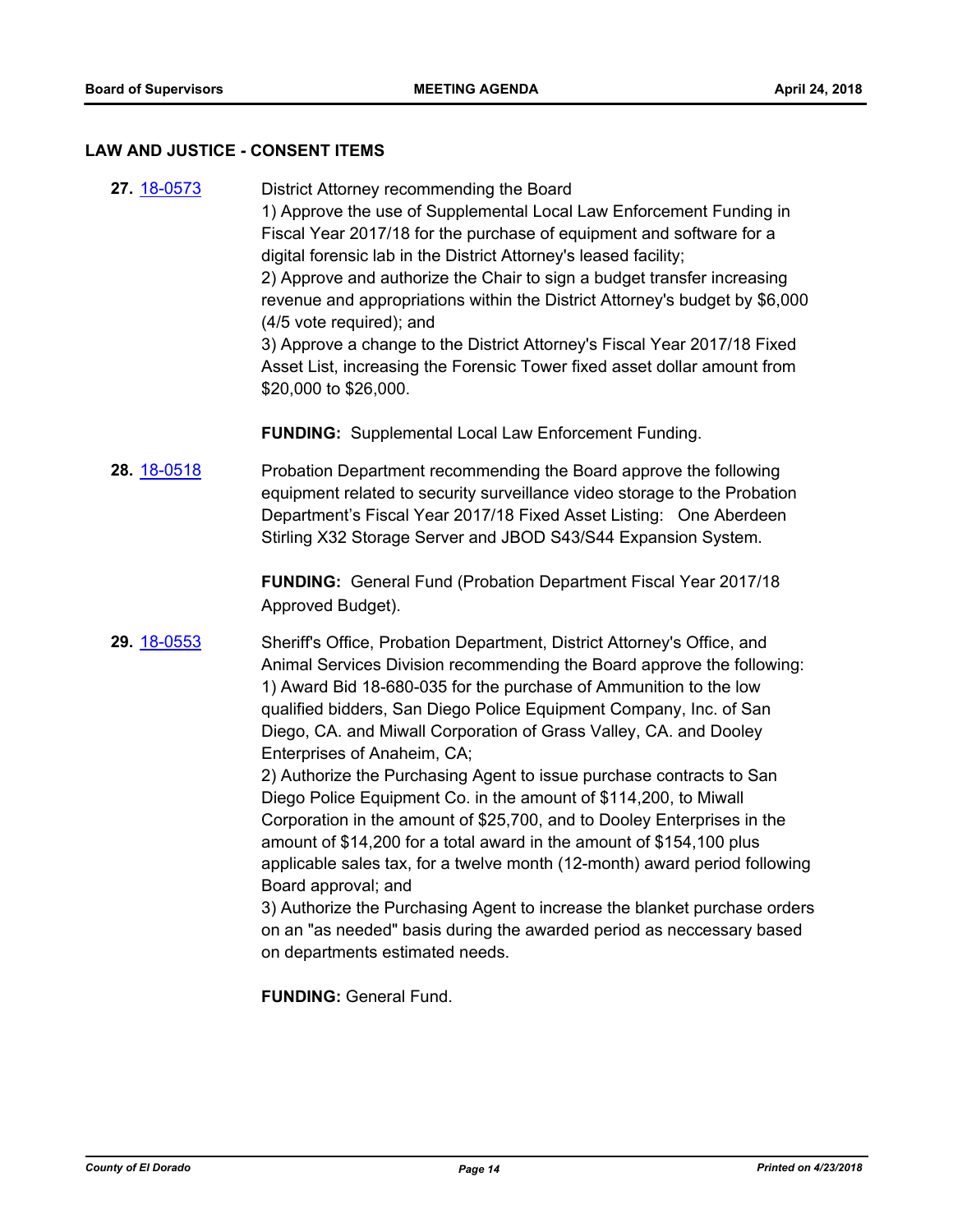#### **LAW AND JUSTICE - CONSENT ITEMS**

**27.** [18-0573](http://eldorado.legistar.com/gateway.aspx?m=l&id=/matter.aspx?key=23918) District Attorney recommending the Board 1) Approve the use of Supplemental Local Law Enforcement Funding in Fiscal Year 2017/18 for the purchase of equipment and software for a digital forensic lab in the District Attorney's leased facility; 2) Approve and authorize the Chair to sign a budget transfer increasing revenue and appropriations within the District Attorney's budget by \$6,000 (4/5 vote required); and 3) Approve a change to the District Attorney's Fiscal Year 2017/18 Fixed Asset List, increasing the Forensic Tower fixed asset dollar amount from \$20,000 to \$26,000.

**FUNDING:** Supplemental Local Law Enforcement Funding.

**28.** [18-0518](http://eldorado.legistar.com/gateway.aspx?m=l&id=/matter.aspx?key=23863) Probation Department recommending the Board approve the following equipment related to security surveillance video storage to the Probation Department's Fiscal Year 2017/18 Fixed Asset Listing: One Aberdeen Stirling X32 Storage Server and JBOD S43/S44 Expansion System.

> **FUNDING:** General Fund (Probation Department Fiscal Year 2017/18 Approved Budget).

**29.** [18-0553](http://eldorado.legistar.com/gateway.aspx?m=l&id=/matter.aspx?key=23898) Sheriff's Office, Probation Department, District Attorney's Office, and Animal Services Division recommending the Board approve the following: 1) Award Bid 18-680-035 for the purchase of Ammunition to the low qualified bidders, San Diego Police Equipment Company, Inc. of San Diego, CA. and Miwall Corporation of Grass Valley, CA. and Dooley Enterprises of Anaheim, CA;

> 2) Authorize the Purchasing Agent to issue purchase contracts to San Diego Police Equipment Co. in the amount of \$114,200, to Miwall Corporation in the amount of \$25,700, and to Dooley Enterprises in the amount of \$14,200 for a total award in the amount of \$154,100 plus applicable sales tax, for a twelve month (12-month) award period following Board approval; and

> 3) Authorize the Purchasing Agent to increase the blanket purchase orders on an "as needed" basis during the awarded period as neccessary based on departments estimated needs.

**FUNDING:** General Fund.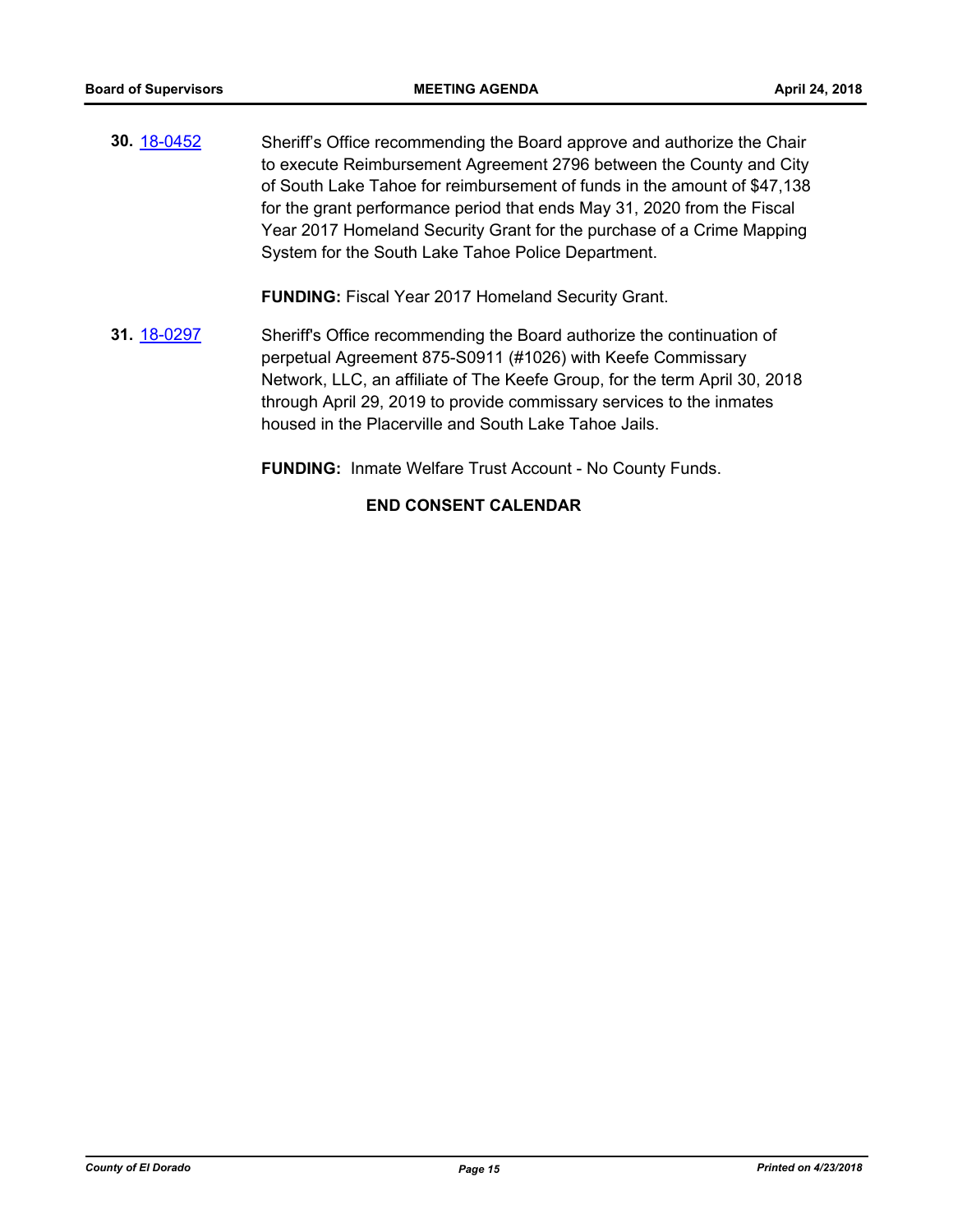**30.** [18-0452](http://eldorado.legistar.com/gateway.aspx?m=l&id=/matter.aspx?key=23797) Sheriff's Office recommending the Board approve and authorize the Chair to execute Reimbursement Agreement 2796 between the County and City of South Lake Tahoe for reimbursement of funds in the amount of \$47,138 for the grant performance period that ends May 31, 2020 from the Fiscal Year 2017 Homeland Security Grant for the purchase of a Crime Mapping System for the South Lake Tahoe Police Department.

**FUNDING:** Fiscal Year 2017 Homeland Security Grant.

**31.** [18-0297](http://eldorado.legistar.com/gateway.aspx?m=l&id=/matter.aspx?key=23640) Sheriff's Office recommending the Board authorize the continuation of perpetual Agreement 875-S0911 (#1026) with Keefe Commissary Network, LLC, an affiliate of The Keefe Group, for the term April 30, 2018 through April 29, 2019 to provide commissary services to the inmates housed in the Placerville and South Lake Tahoe Jails.

**FUNDING:** Inmate Welfare Trust Account - No County Funds.

## **END CONSENT CALENDAR**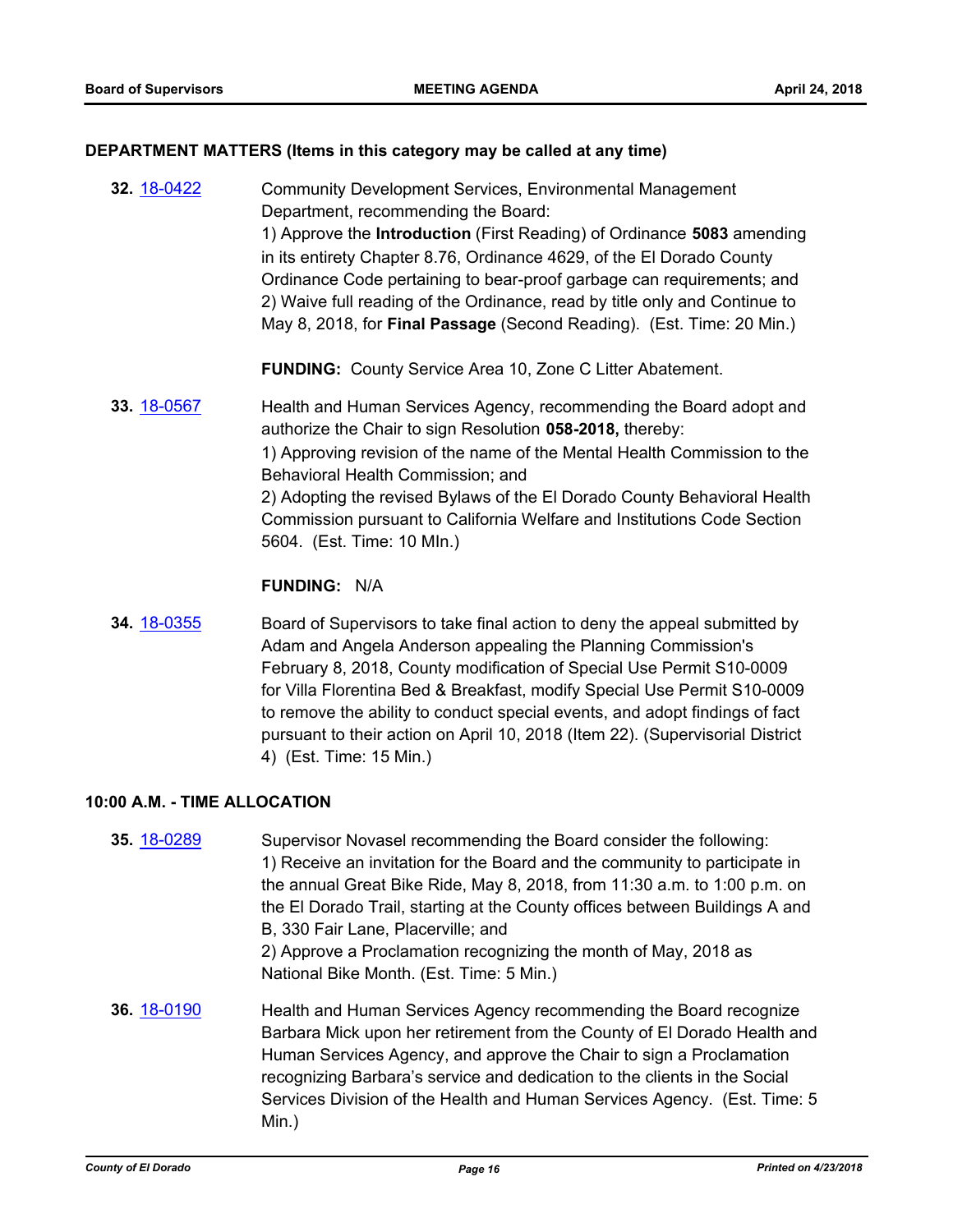## **DEPARTMENT MATTERS (Items in this category may be called at any time)**

- **32.** [18-0422](http://eldorado.legistar.com/gateway.aspx?m=l&id=/matter.aspx?key=23767) Community Development Services, Environmental Management Department, recommending the Board: 1) Approve the **Introduction** (First Reading) of Ordinance **5083** amending in its entirety Chapter 8.76, Ordinance 4629, of the El Dorado County Ordinance Code pertaining to bear-proof garbage can requirements; and 2) Waive full reading of the Ordinance, read by title only and Continue to May 8, 2018, for **Final Passage** (Second Reading). (Est. Time: 20 Min.) **FUNDING:** County Service Area 10, Zone C Litter Abatement.
- **33.** [18-0567](http://eldorado.legistar.com/gateway.aspx?m=l&id=/matter.aspx?key=23912) Health and Human Services Agency, recommending the Board adopt and authorize the Chair to sign Resolution **058-2018,** thereby: 1) Approving revision of the name of the Mental Health Commission to the Behavioral Health Commission; and 2) Adopting the revised Bylaws of the El Dorado County Behavioral Health Commission pursuant to California Welfare and Institutions Code Section 5604. (Est. Time: 10 MIn.)

## **FUNDING:** N/A

**34.** [18-0355](http://eldorado.legistar.com/gateway.aspx?m=l&id=/matter.aspx?key=23698) Board of Supervisors to take final action to deny the appeal submitted by Adam and Angela Anderson appealing the Planning Commission's February 8, 2018, County modification of Special Use Permit S10-0009 for Villa Florentina Bed & Breakfast, modify Special Use Permit S10-0009 to remove the ability to conduct special events, and adopt findings of fact pursuant to their action on April 10, 2018 (Item 22). (Supervisorial District 4) (Est. Time: 15 Min.)

#### **10:00 A.M. - TIME ALLOCATION**

**35.** [18-0289](http://eldorado.legistar.com/gateway.aspx?m=l&id=/matter.aspx?key=23632) Supervisor Novasel recommending the Board consider the following: 1) Receive an invitation for the Board and the community to participate in the annual Great Bike Ride, May 8, 2018, from 11:30 a.m. to 1:00 p.m. on the El Dorado Trail, starting at the County offices between Buildings A and B, 330 Fair Lane, Placerville; and 2) Approve a Proclamation recognizing the month of May, 2018 as National Bike Month. (Est. Time: 5 Min.) **36.** [18-0190](http://eldorado.legistar.com/gateway.aspx?m=l&id=/matter.aspx?key=23532) Health and Human Services Agency recommending the Board recognize Barbara Mick upon her retirement from the County of El Dorado Health and Human Services Agency, and approve the Chair to sign a Proclamation recognizing Barbara's service and dedication to the clients in the Social Services Division of the Health and Human Services Agency. (Est. Time: 5 Min.)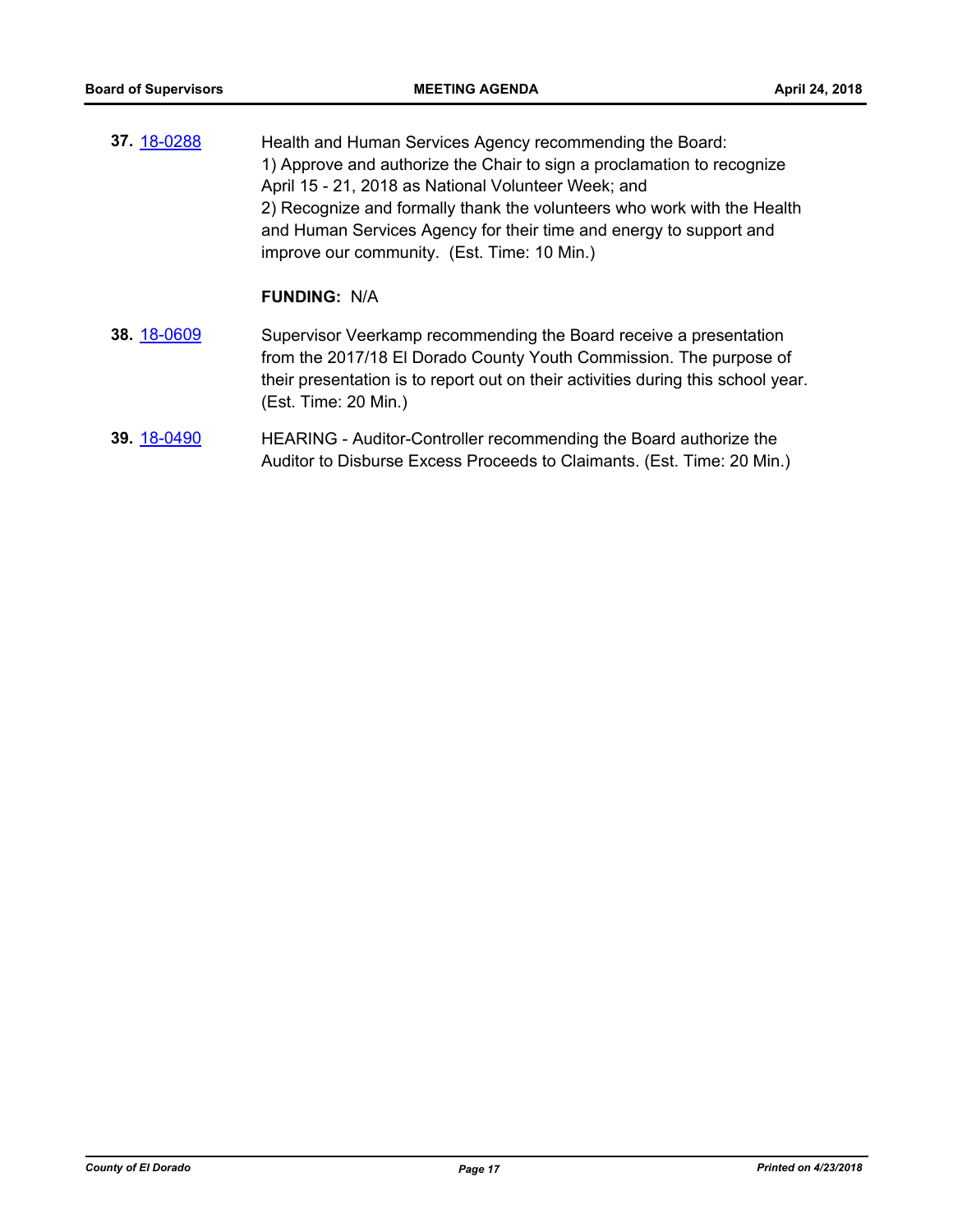**37.** [18-0288](http://eldorado.legistar.com/gateway.aspx?m=l&id=/matter.aspx?key=23631) Health and Human Services Agency recommending the Board: 1) Approve and authorize the Chair to sign a proclamation to recognize April 15 - 21, 2018 as National Volunteer Week; and 2) Recognize and formally thank the volunteers who work with the Health and Human Services Agency for their time and energy to support and improve our community. (Est. Time: 10 Min.)

## **FUNDING:** N/A

- **38.** [18-0609](http://eldorado.legistar.com/gateway.aspx?m=l&id=/matter.aspx?key=23954) Supervisor Veerkamp recommending the Board receive a presentation from the 2017/18 El Dorado County Youth Commission. The purpose of their presentation is to report out on their activities during this school year. (Est. Time: 20 Min.)
- **39.** [18-0490](http://eldorado.legistar.com/gateway.aspx?m=l&id=/matter.aspx?key=23835) HEARING Auditor-Controller recommending the Board authorize the Auditor to Disburse Excess Proceeds to Claimants. (Est. Time: 20 Min.)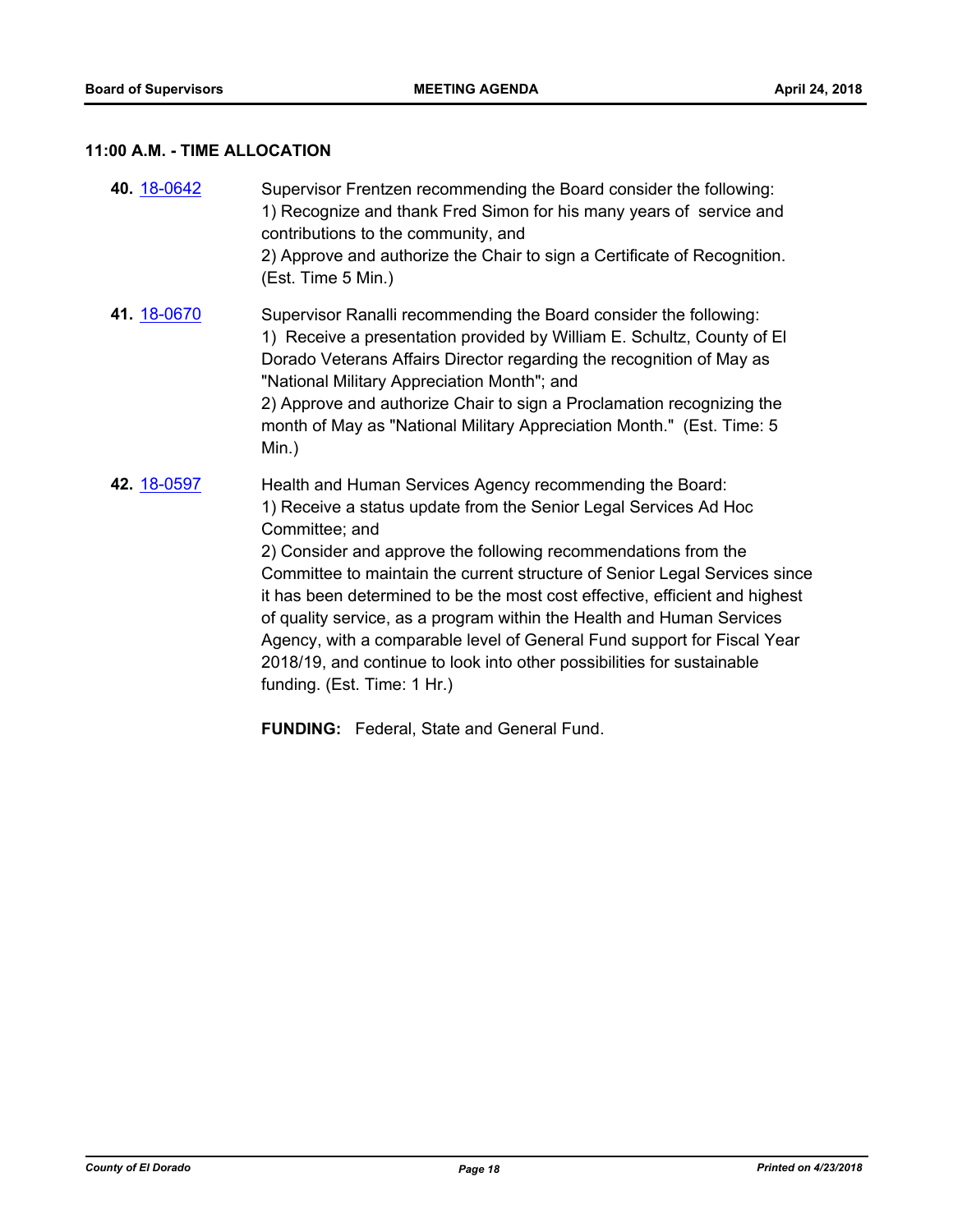## **11:00 A.M. - TIME ALLOCATION**

| 40. 18-0642 | Supervisor Frentzen recommending the Board consider the following:<br>1) Recognize and thank Fred Simon for his many years of service and<br>contributions to the community, and<br>2) Approve and authorize the Chair to sign a Certificate of Recognition.<br>(Est. Time 5 Min.)                                                                                                                                                                                                                                                                                                                                                         |
|-------------|--------------------------------------------------------------------------------------------------------------------------------------------------------------------------------------------------------------------------------------------------------------------------------------------------------------------------------------------------------------------------------------------------------------------------------------------------------------------------------------------------------------------------------------------------------------------------------------------------------------------------------------------|
| 41. 18-0670 | Supervisor Ranalli recommending the Board consider the following:<br>1) Receive a presentation provided by William E. Schultz, County of El<br>Dorado Veterans Affairs Director regarding the recognition of May as<br>"National Military Appreciation Month"; and<br>2) Approve and authorize Chair to sign a Proclamation recognizing the<br>month of May as "National Military Appreciation Month." (Est. Time: 5<br>$Min.$ )                                                                                                                                                                                                           |
| 42. 18-0597 | Health and Human Services Agency recommending the Board:<br>1) Receive a status update from the Senior Legal Services Ad Hoc<br>Committee; and<br>2) Consider and approve the following recommendations from the<br>Committee to maintain the current structure of Senior Legal Services since<br>it has been determined to be the most cost effective, efficient and highest<br>of quality service, as a program within the Health and Human Services<br>Agency, with a comparable level of General Fund support for Fiscal Year<br>2018/19, and continue to look into other possibilities for sustainable<br>funding. (Est. Time: 1 Hr.) |

**FUNDING:** Federal, State and General Fund.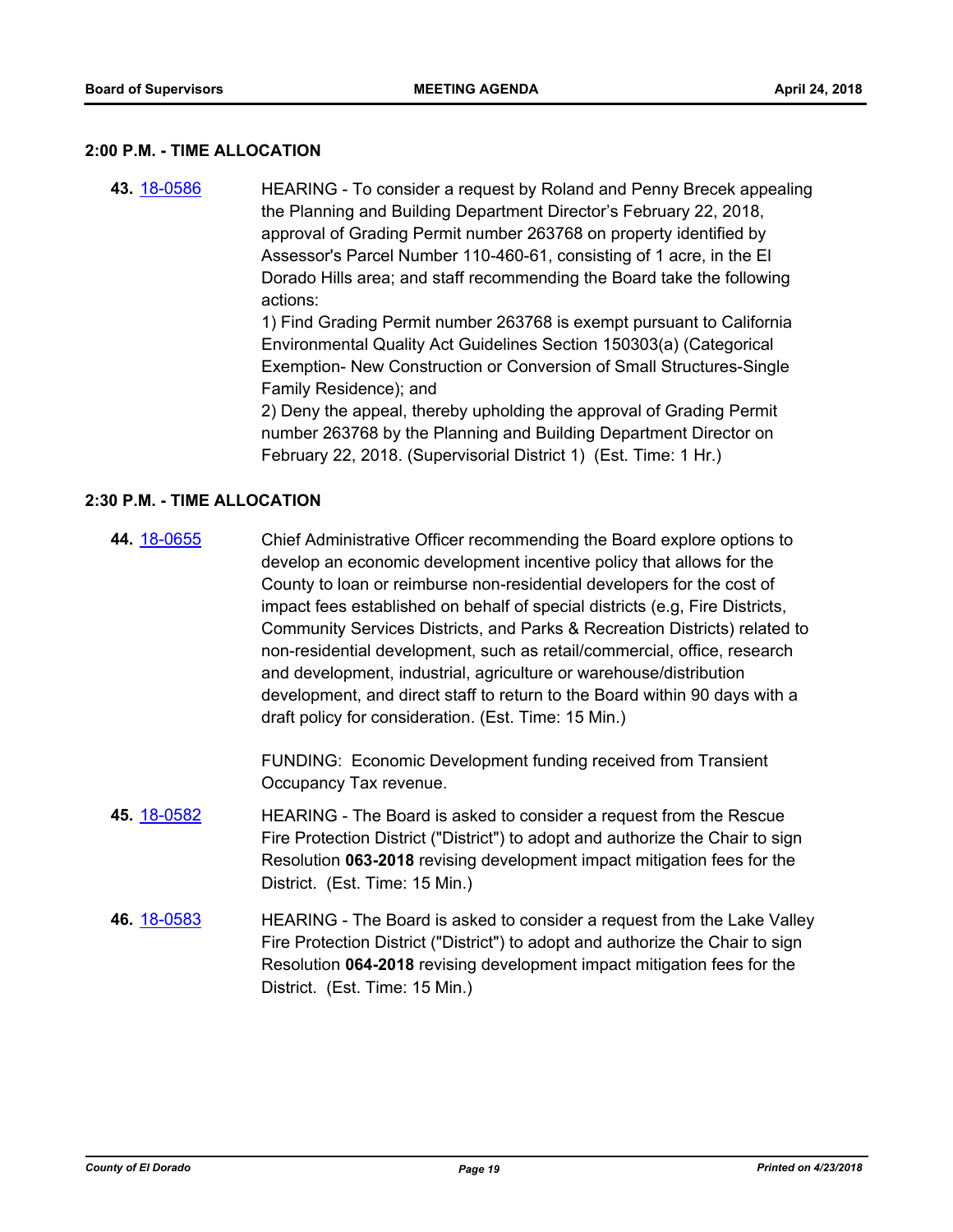#### **2:00 P.M. - TIME ALLOCATION**

**43.** [18-0586](http://eldorado.legistar.com/gateway.aspx?m=l&id=/matter.aspx?key=23931) HEARING - To consider a request by Roland and Penny Brecek appealing the Planning and Building Department Director's February 22, 2018, approval of Grading Permit number 263768 on property identified by Assessor's Parcel Number 110-460-61, consisting of 1 acre, in the El Dorado Hills area; and staff recommending the Board take the following actions: 1) Find Grading Permit number 263768 is exempt pursuant to California Environmental Quality Act Guidelines Section 150303(a) (Categorical Exemption- New Construction or Conversion of Small Structures-Single Family Residence); and

2) Deny the appeal, thereby upholding the approval of Grading Permit number 263768 by the Planning and Building Department Director on February 22, 2018. (Supervisorial District 1) (Est. Time: 1 Hr.)

## **2:30 P.M. - TIME ALLOCATION**

**44.** [18-0655](http://eldorado.legistar.com/gateway.aspx?m=l&id=/matter.aspx?key=24000) Chief Administrative Officer recommending the Board explore options to develop an economic development incentive policy that allows for the County to loan or reimburse non-residential developers for the cost of impact fees established on behalf of special districts (e.g, Fire Districts, Community Services Districts, and Parks & Recreation Districts) related to non-residential development, such as retail/commercial, office, research and development, industrial, agriculture or warehouse/distribution development, and direct staff to return to the Board within 90 days with a draft policy for consideration. (Est. Time: 15 Min.)

> FUNDING: Economic Development funding received from Transient Occupancy Tax revenue.

- **45.** [18-0582](http://eldorado.legistar.com/gateway.aspx?m=l&id=/matter.aspx?key=23927) HEARING The Board is asked to consider a request from the Rescue Fire Protection District ("District") to adopt and authorize the Chair to sign Resolution **063-2018** revising development impact mitigation fees for the District. (Est. Time: 15 Min.)
- **46.** [18-0583](http://eldorado.legistar.com/gateway.aspx?m=l&id=/matter.aspx?key=23928) HEARING The Board is asked to consider a request from the Lake Valley Fire Protection District ("District") to adopt and authorize the Chair to sign Resolution **064-2018** revising development impact mitigation fees for the District. (Est. Time: 15 Min.)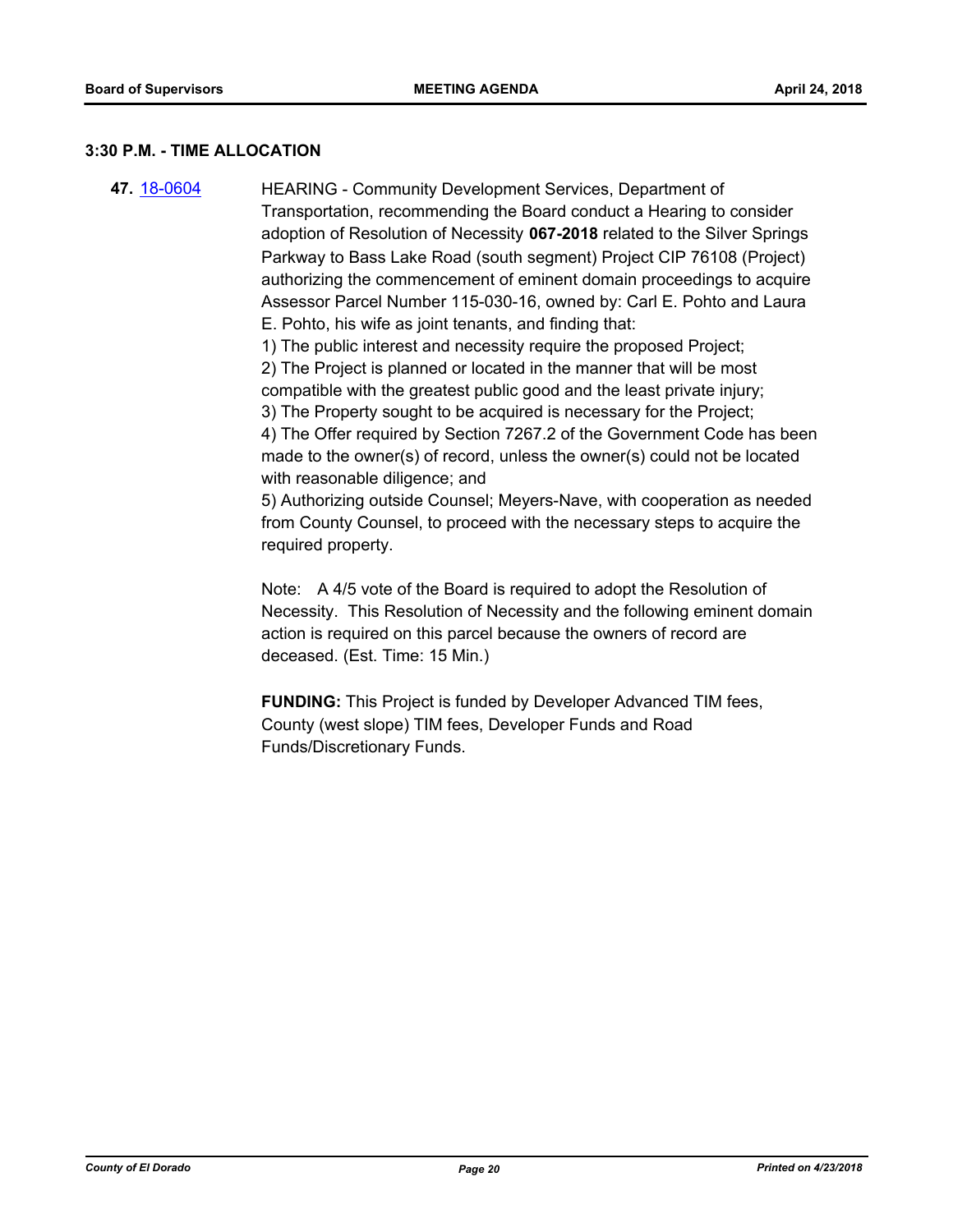#### **3:30 P.M. - TIME ALLOCATION**

**47.** [18-0604](http://eldorado.legistar.com/gateway.aspx?m=l&id=/matter.aspx?key=23949) HEARING - Community Development Services, Department of Transportation, recommending the Board conduct a Hearing to consider adoption of Resolution of Necessity **067-2018** related to the Silver Springs Parkway to Bass Lake Road (south segment) Project CIP 76108 (Project) authorizing the commencement of eminent domain proceedings to acquire Assessor Parcel Number 115-030-16, owned by: Carl E. Pohto and Laura E. Pohto, his wife as joint tenants, and finding that:

1) The public interest and necessity require the proposed Project;

2) The Project is planned or located in the manner that will be most compatible with the greatest public good and the least private injury; 3) The Property sought to be acquired is necessary for the Project;

4) The Offer required by Section 7267.2 of the Government Code has been made to the owner(s) of record, unless the owner(s) could not be located with reasonable diligence; and

5) Authorizing outside Counsel; Meyers-Nave, with cooperation as needed from County Counsel, to proceed with the necessary steps to acquire the required property.

Note: A 4/5 vote of the Board is required to adopt the Resolution of Necessity. This Resolution of Necessity and the following eminent domain action is required on this parcel because the owners of record are deceased. (Est. Time: 15 Min.)

**FUNDING:** This Project is funded by Developer Advanced TIM fees, County (west slope) TIM fees, Developer Funds and Road Funds/Discretionary Funds.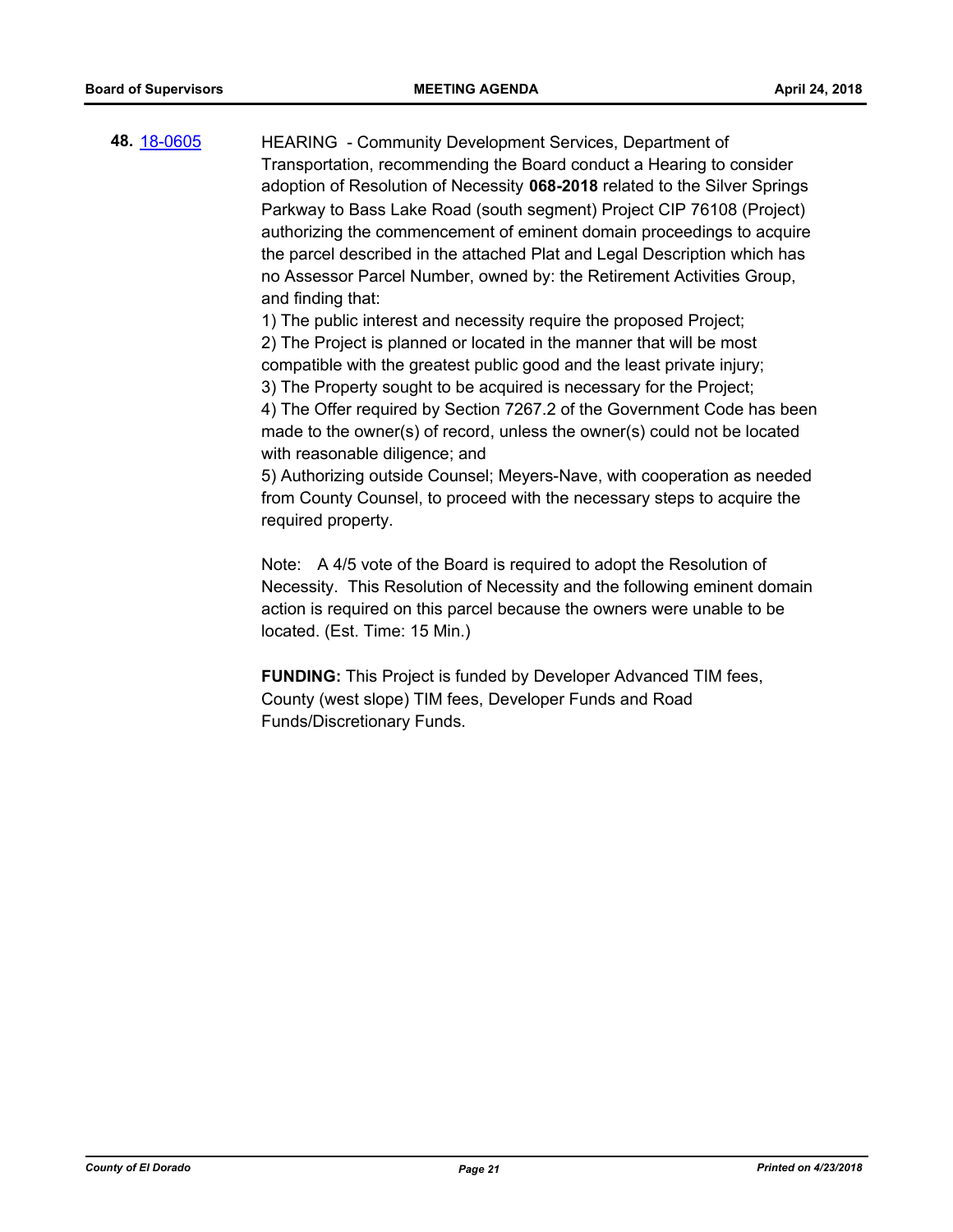**48.** [18-0605](http://eldorado.legistar.com/gateway.aspx?m=l&id=/matter.aspx?key=23950) HEARING - Community Development Services, Department of Transportation, recommending the Board conduct a Hearing to consider adoption of Resolution of Necessity **068-2018** related to the Silver Springs Parkway to Bass Lake Road (south segment) Project CIP 76108 (Project) authorizing the commencement of eminent domain proceedings to acquire the parcel described in the attached Plat and Legal Description which has no Assessor Parcel Number, owned by: the Retirement Activities Group, and finding that:

1) The public interest and necessity require the proposed Project;

2) The Project is planned or located in the manner that will be most compatible with the greatest public good and the least private injury;

3) The Property sought to be acquired is necessary for the Project;

4) The Offer required by Section 7267.2 of the Government Code has been made to the owner(s) of record, unless the owner(s) could not be located with reasonable diligence; and

5) Authorizing outside Counsel; Meyers-Nave, with cooperation as needed from County Counsel, to proceed with the necessary steps to acquire the required property.

Note: A 4/5 vote of the Board is required to adopt the Resolution of Necessity. This Resolution of Necessity and the following eminent domain action is required on this parcel because the owners were unable to be located. (Est. Time: 15 Min.)

**FUNDING:** This Project is funded by Developer Advanced TIM fees, County (west slope) TIM fees, Developer Funds and Road Funds/Discretionary Funds.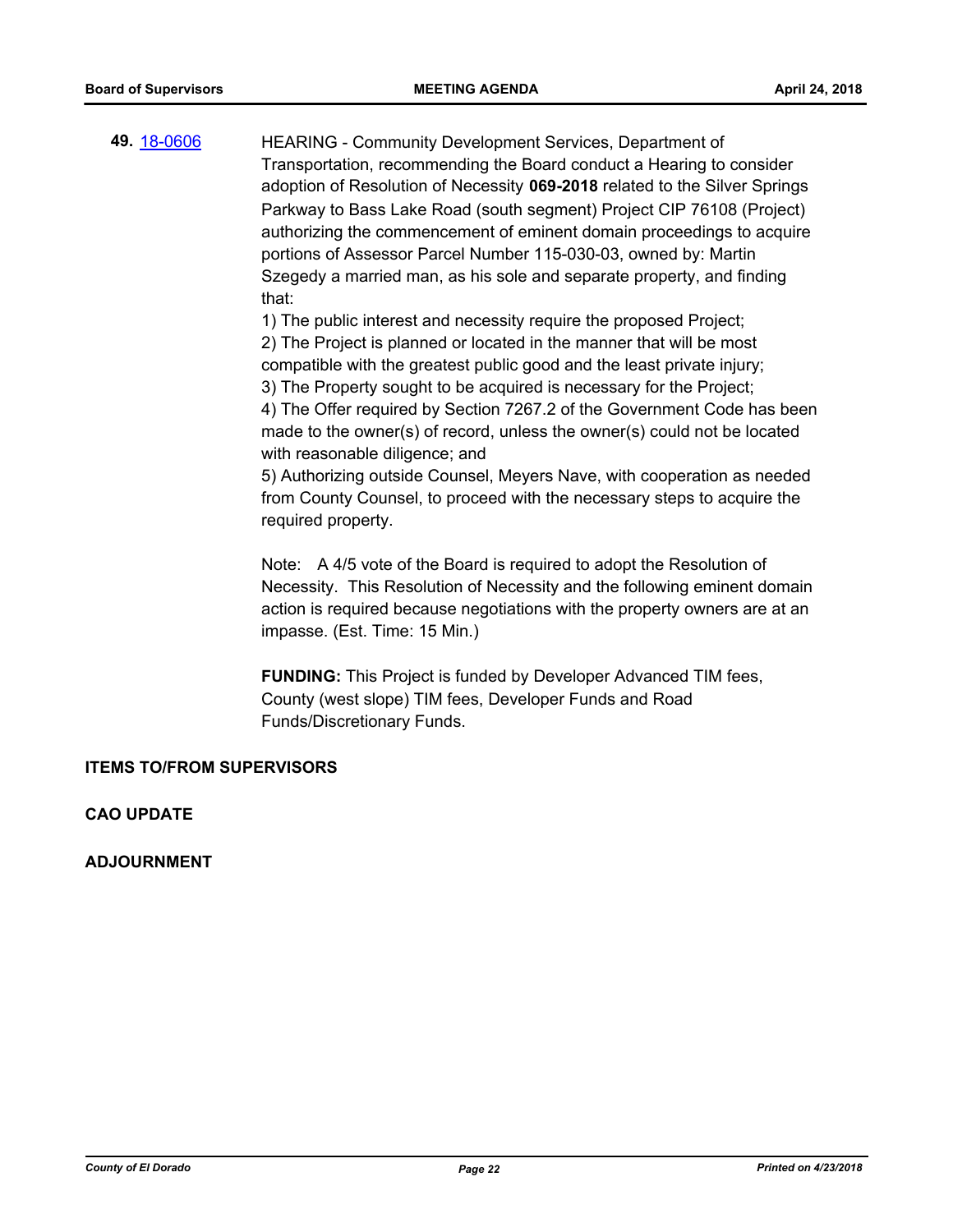**49.** [18-0606](http://eldorado.legistar.com/gateway.aspx?m=l&id=/matter.aspx?key=23951) HEARING - Community Development Services, Department of Transportation, recommending the Board conduct a Hearing to consider adoption of Resolution of Necessity **069-2018** related to the Silver Springs Parkway to Bass Lake Road (south segment) Project CIP 76108 (Project) authorizing the commencement of eminent domain proceedings to acquire portions of Assessor Parcel Number 115-030-03, owned by: Martin Szegedy a married man, as his sole and separate property, and finding that:

1) The public interest and necessity require the proposed Project;

2) The Project is planned or located in the manner that will be most compatible with the greatest public good and the least private injury;

3) The Property sought to be acquired is necessary for the Project;

4) The Offer required by Section 7267.2 of the Government Code has been made to the owner(s) of record, unless the owner(s) could not be located with reasonable diligence; and

5) Authorizing outside Counsel, Meyers Nave, with cooperation as needed from County Counsel, to proceed with the necessary steps to acquire the required property.

Note: A 4/5 vote of the Board is required to adopt the Resolution of Necessity. This Resolution of Necessity and the following eminent domain action is required because negotiations with the property owners are at an impasse. (Est. Time: 15 Min.)

**FUNDING:** This Project is funded by Developer Advanced TIM fees, County (west slope) TIM fees, Developer Funds and Road Funds/Discretionary Funds.

## **ITEMS TO/FROM SUPERVISORS**

## **CAO UPDATE**

**ADJOURNMENT**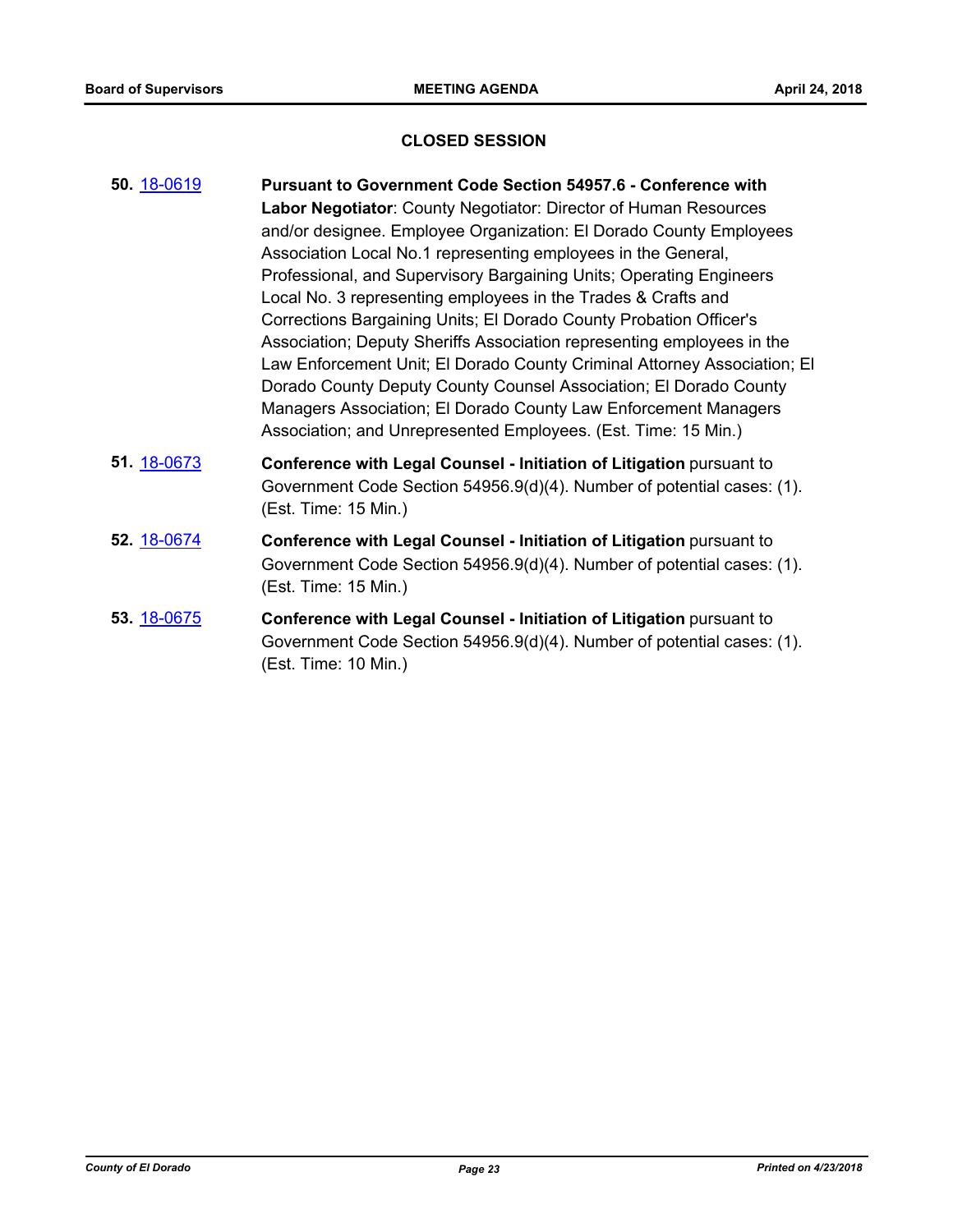## **CLOSED SESSION**

| 50. 18-0619 | <b>Pursuant to Government Code Section 54957.6 - Conference with</b>                                                                                                                                                                                                                                                                                                                                                                                                                                                                                                                                                                                                                                                                                                                  |
|-------------|---------------------------------------------------------------------------------------------------------------------------------------------------------------------------------------------------------------------------------------------------------------------------------------------------------------------------------------------------------------------------------------------------------------------------------------------------------------------------------------------------------------------------------------------------------------------------------------------------------------------------------------------------------------------------------------------------------------------------------------------------------------------------------------|
|             | Labor Negotiator: County Negotiator: Director of Human Resources<br>and/or designee. Employee Organization: El Dorado County Employees<br>Association Local No.1 representing employees in the General,<br>Professional, and Supervisory Bargaining Units; Operating Engineers<br>Local No. 3 representing employees in the Trades & Crafts and<br>Corrections Bargaining Units; El Dorado County Probation Officer's<br>Association; Deputy Sheriffs Association representing employees in the<br>Law Enforcement Unit; El Dorado County Criminal Attorney Association; El<br>Dorado County Deputy County Counsel Association; El Dorado County<br>Managers Association; El Dorado County Law Enforcement Managers<br>Association; and Unrepresented Employees. (Est. Time: 15 Min.) |
| 51. 18-0673 | Conference with Legal Counsel - Initiation of Litigation pursuant to<br>Government Code Section 54956.9(d)(4). Number of potential cases: (1).<br>(Est. Time: 15 Min.)                                                                                                                                                                                                                                                                                                                                                                                                                                                                                                                                                                                                                |
| 52. 18-0674 | Conference with Legal Counsel - Initiation of Litigation pursuant to<br>Government Code Section 54956.9(d)(4). Number of potential cases: (1).<br>(Est. Time: 15 Min.)                                                                                                                                                                                                                                                                                                                                                                                                                                                                                                                                                                                                                |
| 53. 18-0675 | Conference with Legal Counsel - Initiation of Litigation pursuant to<br>Government Code Section 54956.9(d)(4). Number of potential cases: (1).<br>(Est. Time: 10 Min.)                                                                                                                                                                                                                                                                                                                                                                                                                                                                                                                                                                                                                |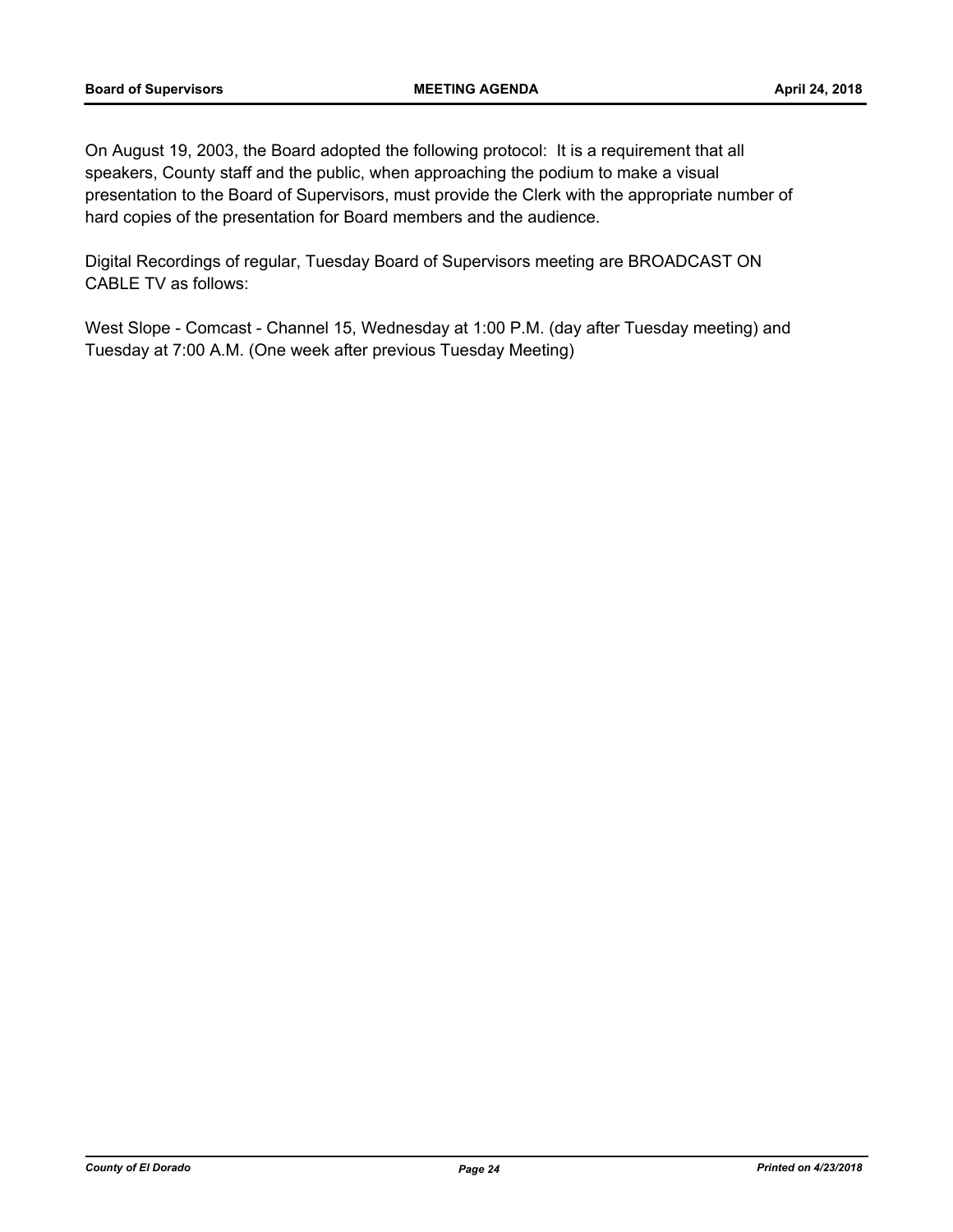On August 19, 2003, the Board adopted the following protocol: It is a requirement that all speakers, County staff and the public, when approaching the podium to make a visual presentation to the Board of Supervisors, must provide the Clerk with the appropriate number of hard copies of the presentation for Board members and the audience.

Digital Recordings of regular, Tuesday Board of Supervisors meeting are BROADCAST ON CABLE TV as follows:

West Slope - Comcast - Channel 15, Wednesday at 1:00 P.M. (day after Tuesday meeting) and Tuesday at 7:00 A.M. (One week after previous Tuesday Meeting)